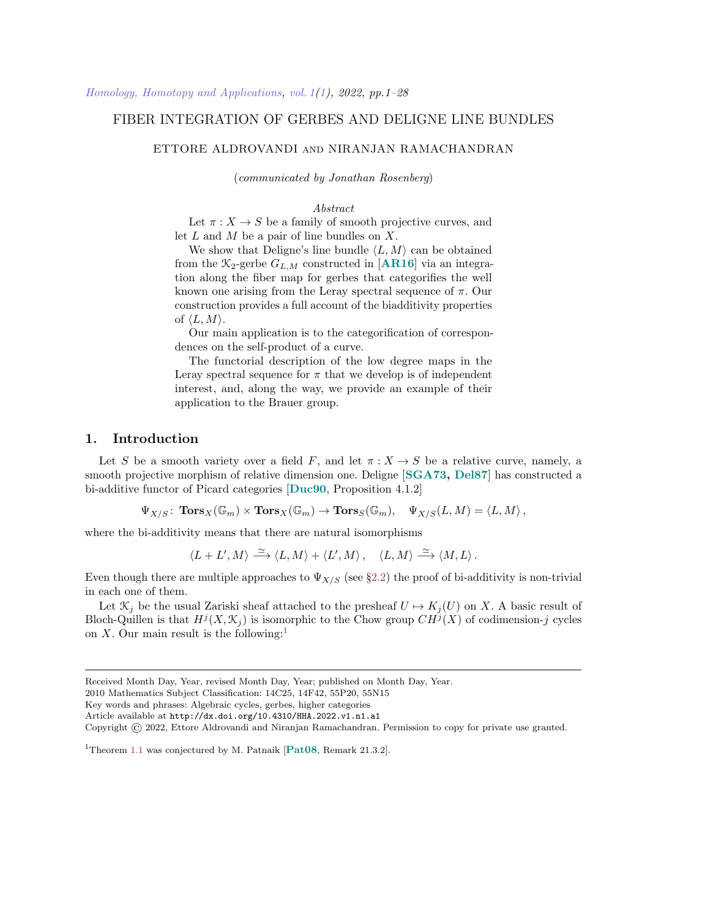## FIBER INTEGRATION OF GERBES AND DELIGNE LINE BUNDLES

## ETTORE ALDROVANDI and NIRANJAN RAMACHANDRAN

(communicated by Jonathan Rosenberg)

## Abstract

Let  $\pi: X \to S$  be a family of smooth projective curves, and let  $L$  and  $M$  be a pair of line bundles on  $X$ .

We show that Deligne's line bundle  $\langle L, M \rangle$  can be obtained from the  $\mathcal{K}_2$ -gerbe  $G_{L,M}$  constructed in [[AR16](#page-25-0)] via an integration along the fiber map for gerbes that categorifies the well known one arising from the Leray spectral sequence of  $\pi$ . Our construction provides a full account of the biadditivity properties of  $\langle L, M \rangle$ .

Our main application is to the categorification of correspondences on the self-product of a curve.

The functorial description of the low degree maps in the Leray spectral sequence for  $\pi$  that we develop is of independent interest, and, along the way, we provide an example of their application to the Brauer group.

## 1. Introduction

Let S be a smooth variety over a field F, and let  $\pi: X \to S$  be a relative curve, namely, a smooth projective morphism of relative dimension one. Deligne [[SGA73,](#page-27-0) [Del87](#page-25-1)] has constructed a bi-additive functor of Picard categories [[Duc90](#page-25-2), Proposition 4.1.2]

 $\Psi_{X/S}$ :  $\text{Tors}_X(\mathbb{G}_m) \times \text{Tors}_X(\mathbb{G}_m) \to \text{Tors}_S(\mathbb{G}_m)$ ,  $\Psi_{X/S}(L,M) = \langle L, M \rangle$ ,

where the bi-additivity means that there are natural isomorphisms

$$
\langle L+L',M\rangle \stackrel{\simeq}{\longrightarrow} \langle L,M\rangle + \langle L',M\rangle\,,\quad \langle L,M\rangle \stackrel{\simeq}{\longrightarrow} \langle M,L\rangle\,.
$$

Even though there are multiple approaches to  $\Psi_{X/S}$  (see §[2.2\)](#page-3-0) the proof of bi-additivity is non-trivial in each one of them.

Let  $\mathcal{K}_j$  be the usual Zariski sheaf attached to the presheaf  $U \mapsto K_j(U)$  on X. A basic result of Bloch-Quillen is that  $H^j(X, \mathcal{K}_j)$  is isomorphic to the Chow group  $CH^j(X)$  of codimension-j cycles on X. Our main result is the following:<sup>[1](#page-0-0)</sup>

Received Month Day, Year, revised Month Day, Year; published on Month Day, Year.

<sup>2010</sup> Mathematics Subject Classification: 14C25, 14F42, 55P20, 55N15

Key words and phrases: Algebraic cycles, gerbes, higher categories

Article available at http://dx.doi.org/10.4310/HHA.2022.v1.n1.a1

Copyright © 2022, Ettore Aldrovandi and Niranjan Ramachandran. Permission to copy for private use granted.

<span id="page-0-0"></span><sup>&</sup>lt;sup>1</sup>Theorem [1.1](#page-1-0) was conjectured by M. Patnaik  $[Pat08, Remark 21.3.2]$  $[Pat08, Remark 21.3.2]$  $[Pat08, Remark 21.3.2]$ .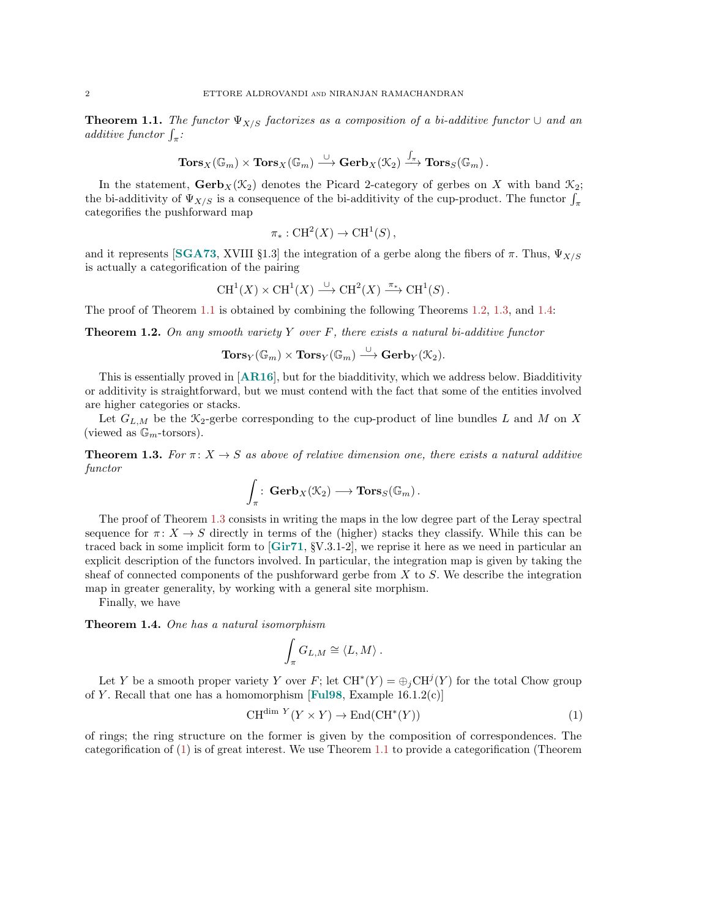<span id="page-1-0"></span>**Theorem 1.1.** The functor  $\Psi_{X/S}$  factorizes as a composition of a bi-additive functor  $\cup$  and an additive functor  $\int_{\pi}$ :

$$
\mathbf{Tors}_X(\mathbb{G}_m) \times \mathbf{Tors}_X(\mathbb{G}_m) \stackrel{\cup}{\longrightarrow} \mathbf{Gerb}_X(\mathcal{K}_2) \xrightarrow{\int_{\pi}} \mathbf{Tors}_S(\mathbb{G}_m).
$$

In the statement,  $\mathbf{Gerb}_X(\mathcal{K}_2)$  denotes the Picard 2-category of gerbes on X with band  $\mathcal{K}_2$ ; the bi-additivity of  $\Psi_{X/S}$  is a consequence of the bi-additivity of the cup-product. The functor  $\int_{\pi}$ categorifies the pushforward map

$$
\pi_*: \operatorname{CH}^2(X) \to \operatorname{CH}^1(S)
$$

and it represents [[SGA73](#page-27-0), XVIII §1.3] the integration of a gerbe along the fibers of  $\pi$ . Thus,  $\Psi_{X/S}$ is actually a categorification of the pairing

$$
\operatorname{CH}^1(X) \times \operatorname{CH}^1(X) \xrightarrow{\cup} \operatorname{CH}^2(X) \xrightarrow{\pi_*} \operatorname{CH}^1(S).
$$

The proof of Theorem [1.1](#page-1-0) is obtained by combining the following Theorems [1.2,](#page-1-1) [1.3,](#page-1-2) and [1.4:](#page-1-3)

<span id="page-1-1"></span>**Theorem 1.2.** On any smooth variety Y over F, there exists a natural bi-additive functor

$$
\mathbf{Tors}_Y(\mathbb{G}_m) \times \mathbf{Tors}_Y(\mathbb{G}_m) \stackrel{\cup}{\longrightarrow} \mathbf{Gerb}_Y(\mathcal{K}_2).
$$

This is essentially proved in [[AR16](#page-25-0)], but for the biadditivity, which we address below. Biadditivity or additivity is straightforward, but we must contend with the fact that some of the entities involved are higher categories or stacks.

Let  $G_{L,M}$  be the  $\mathcal{K}_2$ -gerbe corresponding to the cup-product of line bundles L and M on X (viewed as  $\mathbb{G}_m$ -torsors).

<span id="page-1-2"></span>**Theorem 1.3.** For  $\pi: X \to S$  as above of relative dimension one, there exists a natural additive functor

$$
\int_{\pi} \colon \mathbf{Gerb}_X(\mathcal{K}_2) \longrightarrow \mathbf{Tors}_S(\mathbb{G}_m) \, .
$$

The proof of Theorem [1.3](#page-1-2) consists in writing the maps in the low degree part of the Leray spectral sequence for  $\pi: X \to S$  directly in terms of the (higher) stacks they classify. While this can be traced back in some implicit form to  $[\text{Gir71}, \text{SV.3.1-2}]$  $[\text{Gir71}, \text{SV.3.1-2}]$  $[\text{Gir71}, \text{SV.3.1-2}]$ , we reprise it here as we need in particular an explicit description of the functors involved. In particular, the integration map is given by taking the sheaf of connected components of the pushforward gerbe from  $X$  to  $S$ . We describe the integration map in greater generality, by working with a general site morphism.

Finally, we have

<span id="page-1-3"></span>Theorem 1.4. One has a natural isomorphism

$$
\int_{\pi} G_{L,M} \cong \langle L,M \rangle.
$$

Let Y be a smooth proper variety Y over F; let  $\text{CH}^*(Y) = \bigoplus_j \text{CH}^j(Y)$  for the total Chow group of Y. Recall that one has a homomorphism [[Ful98](#page-26-1), Example  $16.1.2(c)$ ]

<span id="page-1-4"></span>
$$
CH^{\dim Y}(Y \times Y) \to End(CH^*(Y))
$$
\n(1)

of rings; the ring structure on the former is given by the composition of correspondences. The categorification of [\(1\)](#page-1-4) is of great interest. We use Theorem [1.1](#page-1-0) to provide a categorification (Theorem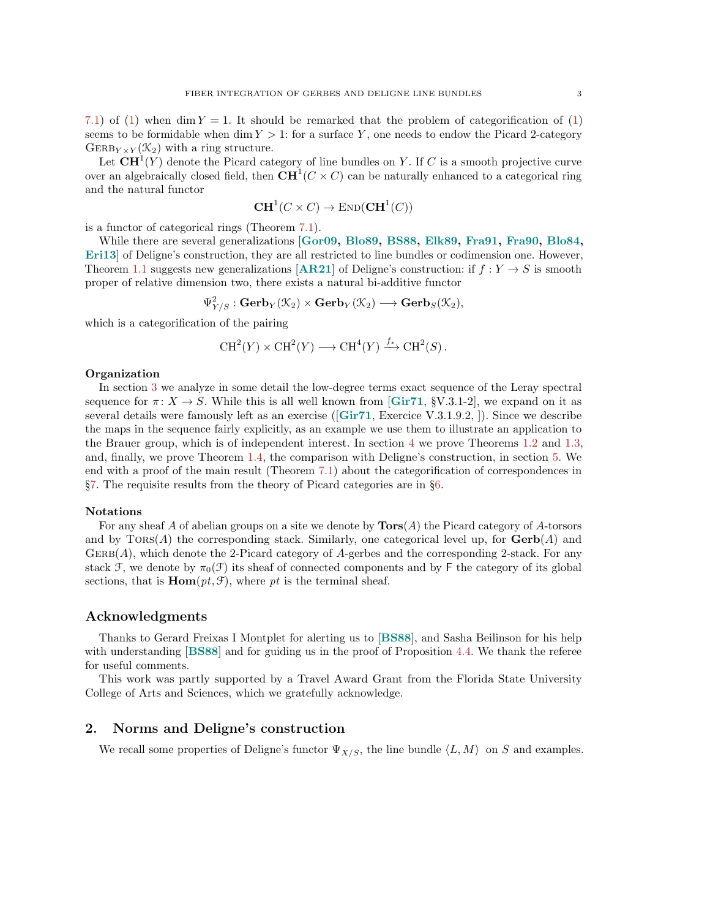[7.1\)](#page-21-0) of [\(1\)](#page-1-4) when dim  $Y = 1$ . It should be remarked that the problem of categorification of (1) seems to be formidable when dim  $Y > 1$ : for a surface Y, one needs to endow the Picard 2-category  $\text{GERBy}_{Y\times Y}(\mathcal{K}_2)$  with a ring structure.

Let  $\mathbf{C}\mathbf{H}^{1}(Y)$  denote the Picard category of line bundles on Y. If C is a smooth projective curve over an algebraically closed field, then  $\mathbf{C}\mathbf{H}^1(C\times C)$  can be naturally enhanced to a categorical ring and the natural functor

$$
\mathbf{CH}^1(C \times C) \to \mathrm{END}(\mathbf{CH}^1(C))
$$

is a functor of categorical rings (Theorem [7.1\)](#page-21-0).

While there are several generalizations [[Gor09,](#page-26-2) [Blo89,](#page-25-3) [BS88,](#page-25-4) [Elk89,](#page-26-3) [Fra91,](#page-26-4) [Fra90,](#page-26-5) [Blo84,](#page-25-5) [Eri13](#page-26-6)] of Deligne's construction, they are all restricted to line bundles or codimension one. However, Theorem [1.1](#page-1-0) suggests new generalizations [[AR21](#page-25-6)] of Deligne's construction: if  $f: Y \to S$  is smooth proper of relative dimension two, there exists a natural bi-additive functor

$$
\Psi^2_{Y/S}: \operatorname{\bf Gerb}_Y(\mathcal{K}_2) \times \operatorname{\bf Gerb}_Y(\mathcal{K}_2) \longrightarrow \operatorname{\bf Gerb}_S(\mathcal{K}_2),
$$

which is a categorification of the pairing

$$
CH2(Y) \times CH2(Y) \longrightarrow CH4(Y) \xrightarrow{f_*} CH2(S).
$$

#### Organization

In section [3](#page-4-0) we analyze in some detail the low-degree terms exact sequence of the Leray spectral sequence for  $\pi: X \to S$ . While this is all well known from [[Gir71](#page-26-0), §V.3.1-2], we expand on it as several details were famously left as an exercise ([[Gir71](#page-26-0), Exercice V.3.1.9.2, ]). Since we describe the maps in the sequence fairly explicitly, as an example we use them to illustrate an application to the Brauer group, which is of independent interest. In section [4](#page-10-0) we prove Theorems [1.2](#page-1-1) and [1.3,](#page-1-2) and, finally, we prove Theorem [1.4,](#page-1-3) the comparison with Deligne's construction, in section [5.](#page-15-0) We end with a proof of the main result (Theorem [7.1\)](#page-21-0) about the categorification of correspondences in §[7.](#page-19-0) The requisite results from the theory of Picard categories are in §[6.](#page-18-0)

#### Notations

For any sheaf A of abelian groups on a site we denote by  $\textbf{Tors}(A)$  the Picard category of A-torsors and by  $TORS(A)$  the corresponding stack. Similarly, one categorical level up, for  $\mathbf{Gerb}(A)$  and  $GERB(A)$ , which denote the 2-Picard category of A-gerbes and the corresponding 2-stack. For any stack F, we denote by  $\pi_0(\mathcal{F})$  its sheaf of connected components and by F the category of its global sections, that is  $\text{Hom}(pt, \mathcal{F})$ , where pt is the terminal sheaf.

## Acknowledgments

Thanks to Gerard Freixas I Montplet for alerting us to [[BS88](#page-25-4)], and Sasha Beilinson for his help with understanding [[BS88](#page-25-4)] and for guiding us in the proof of Proposition [4.4.](#page-12-0) We thank the referee for useful comments.

This work was partly supported by a Travel Award Grant from the Florida State University College of Arts and Sciences, which we gratefully acknowledge.

#### 2. Norms and Deligne's construction

We recall some properties of Deligne's functor  $\Psi_{X/S}$ , the line bundle  $\langle L, M \rangle$  on S and examples.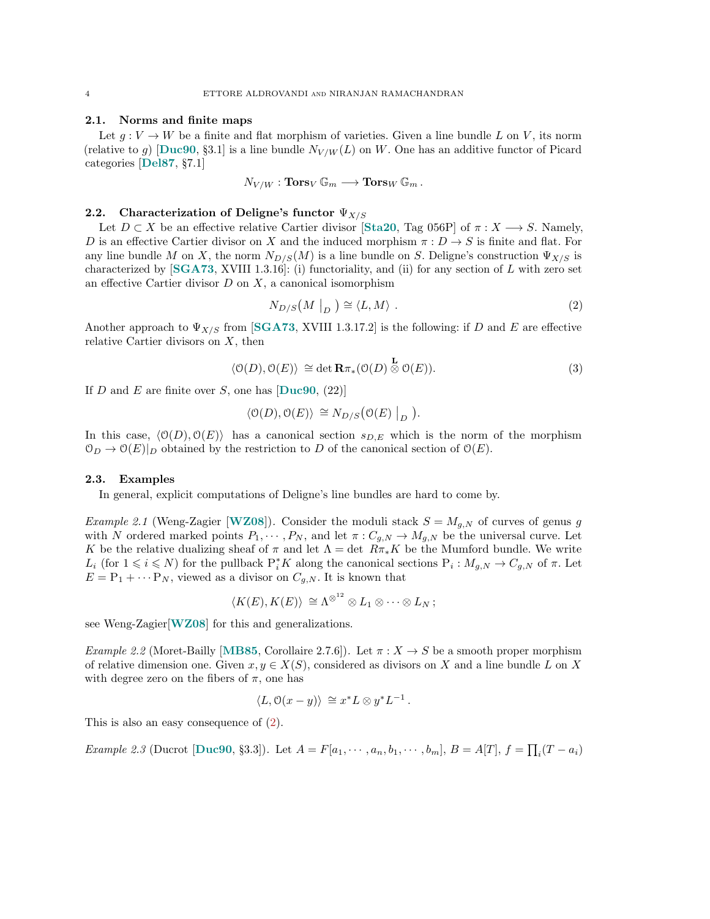#### 2.1. Norms and finite maps

Let  $g: V \to W$  be a finite and flat morphism of varieties. Given a line bundle L on V, its norm (relative to g) [[Duc90](#page-25-2), §3.1] is a line bundle  $N_{V/W}(L)$  on W. One has an additive functor of Picard categories [[Del87](#page-25-1), §7.1]

$$
N_{V/W} : \textbf{Tors}_V \, \mathbb{G}_m \longrightarrow \textbf{Tors}_W \, \mathbb{G}_m \, .
$$

#### <span id="page-3-0"></span>2.2. Characterization of Deligne's functor  $\Psi_{X/S}$

Let  $D \subset X$  be an effective relative Cartier divisor [[Sta20](#page-27-2), Tag 056P] of  $\pi : X \longrightarrow S$ . Namely, D is an effective Cartier divisor on X and the induced morphism  $\pi: D \to S$  is finite and flat. For any line bundle M on X, the norm  $N_{D/S}(M)$  is a line bundle on S. Deligne's construction  $\Psi_{X/S}$  is characterized by  $[SGA73, XVIII 1.3.16]$  $[SGA73, XVIII 1.3.16]$  $[SGA73, XVIII 1.3.16]$ : (i) functoriality, and (ii) for any section of L with zero set an effective Cartier divisor  $D$  on  $X$ , a canonical isomorphism

<span id="page-3-1"></span>
$$
N_{D/S}(M \mid_D) \cong \langle L, M \rangle . \tag{2}
$$

Another approach to  $\Psi_{X/S}$  from [[SGA73](#page-27-0), XVIII 1.3.17.2] is the following: if D and E are effective relative Cartier divisors on  $X$ , then

$$
\langle \mathcal{O}(D), \mathcal{O}(E) \rangle \cong \det \mathbf{R} \pi_* (\mathcal{O}(D) \stackrel{\mathbf{L}}{\otimes} \mathcal{O}(E)). \tag{3}
$$

If D and E are finite over S, one has  $\text{[Duc90, (22)]}$  $\text{[Duc90, (22)]}$  $\text{[Duc90, (22)]}$ 

$$
\langle \mathcal{O}(D), \mathcal{O}(E) \rangle \cong N_{D/S} \big( \mathcal{O}(E) \big|_D \big).
$$

In this case,  $\langle O(D), O(E) \rangle$  has a canonical section  $s_{D,E}$  which is the norm of the morphism  $\mathcal{O}_D \to \mathcal{O}(E)|_D$  obtained by the restriction to D of the canonical section of  $\mathcal{O}(E)$ .

#### 2.3. Examples

In general, explicit computations of Deligne's line bundles are hard to come by.

*Example 2.1* (Weng-Zagier [[WZ08](#page-27-3)]). Consider the moduli stack  $S = M_{g,N}$  of curves of genus g with N ordered marked points  $P_1, \dots, P_N$ , and let  $\pi: C_{g,N} \to M_{g,N}$  be the universal curve. Let K be the relative dualizing sheaf of  $\pi$  and let  $\Lambda = \det R\pi_*K$  be the Mumford bundle. We write L<sub>i</sub> (for  $1 \leq i \leq N$ ) for the pullback  $P_i^*K$  along the canonical sections  $P_i : M_{g,N} \to C_{g,N}$  of  $\pi$ . Let  $E = P_1 + \cdots P_N$ , viewed as a divisor on  $C_{q,N}$ . It is known that

$$
\langle K(E), K(E) \rangle \cong \Lambda^{\otimes^{12}} \otimes L_1 \otimes \cdots \otimes L_N ;
$$

see Weng-Zagier<sup>[[WZ08](#page-27-3)]</sup> for this and generalizations.

Example 2.2 (Moret-Bailly [[MB85](#page-27-4), Corollaire 2.7.6]). Let  $\pi : X \to S$  be a smooth proper morphism of relative dimension one. Given  $x, y \in X(S)$ , considered as divisors on X and a line bundle L on X with degree zero on the fibers of  $\pi$ , one has

$$
\langle L, \mathcal{O}(x - y) \rangle \cong x^* L \otimes y^* L^{-1}.
$$

This is also an easy consequence of [\(2\)](#page-3-1).

*Example 2.3* (Ducrot [[Duc90](#page-25-2), §3.3]). Let  $A = F[a_1, \dots, a_n, b_1, \dots, b_m]$ ,  $B = A[T]$ ,  $f = \prod_i (T - a_i)$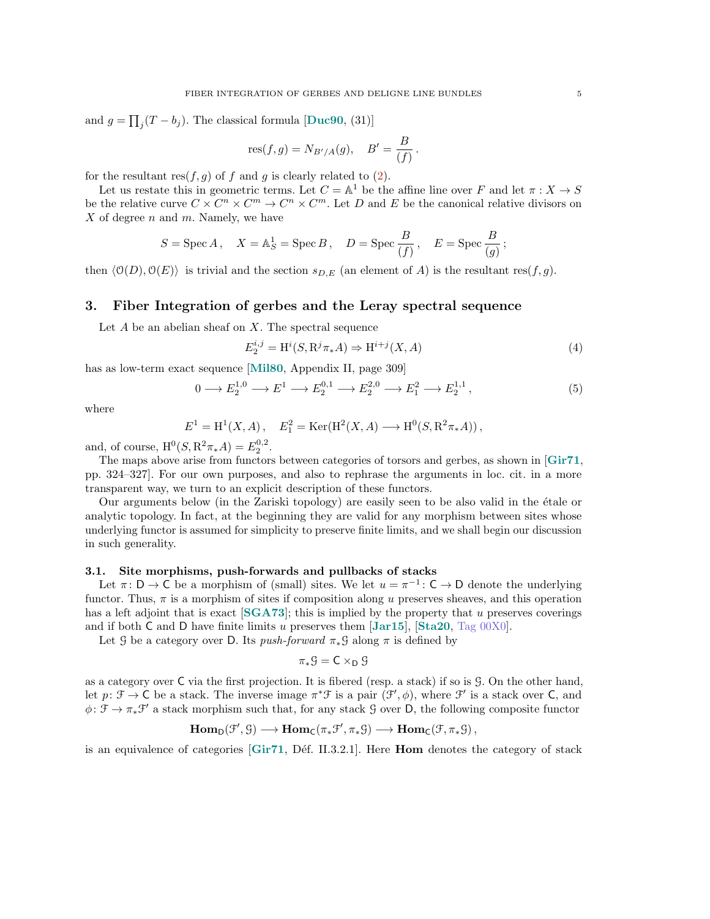and  $g = \prod_j (T - b_j)$ . The classical formula [[Duc90](#page-25-2), (31)]

$$
res(f, g) = N_{B'/A}(g),
$$
  $B' = \frac{B}{(f)}.$ 

for the resultant res $(f, g)$  of f and g is clearly related to  $(2)$ .

Let us restate this in geometric terms. Let  $C = \mathbb{A}^1$  be the affine line over F and let  $\pi : X \to S$ be the relative curve  $C \times C^n \times C^m \to C^n \times C^m$ . Let D and E be the canonical relative divisors on  $X$  of degree n and m. Namely, we have

$$
S = \operatorname{Spec} A, \quad X = \mathbb{A}^1_S = \operatorname{Spec} B, \quad D = \operatorname{Spec} \frac{B}{(f)}, \quad E = \operatorname{Spec} \frac{B}{(g)};
$$

then  $\langle 0(D), 0(E) \rangle$  is trivial and the section  $s_{D,E}$  (an element of A) is the resultant res(f, g).

## <span id="page-4-0"></span>3. Fiber Integration of gerbes and the Leray spectral sequence

Let  $A$  be an abelian sheaf on  $X$ . The spectral sequence

$$
E_2^{i,j} = \mathrm{H}^i(S, \mathrm{R}^j \pi_* A) \Rightarrow \mathrm{H}^{i+j}(X, A) \tag{4}
$$

has as low-term exact sequence [[Mil80](#page-27-5), Appendix II, page 309]

<span id="page-4-2"></span>
$$
0 \longrightarrow E_2^{1,0} \longrightarrow E^1 \longrightarrow E_2^{0,1} \longrightarrow E_2^{2,0} \longrightarrow E_1^2 \longrightarrow E_2^{1,1}, \tag{5}
$$

where

$$
E^{1} = H^{1}(X, A), \quad E_{1}^{2} = \text{Ker}(\text{H}^{2}(X, A) \longrightarrow \text{H}^{0}(S, \text{R}^{2}\pi_{*}A)),
$$

and, of course,  $H^0(S, R^2 \pi_* A) = E_2^{0,2}$ .

The maps above arise from functors between categories of torsors and gerbes, as shown in [[Gir71](#page-26-0), pp. 324–327]. For our own purposes, and also to rephrase the arguments in loc. cit. in a more transparent way, we turn to an explicit description of these functors.

Our arguments below (in the Zariski topology) are easily seen to be also valid in the étale or analytic topology. In fact, at the beginning they are valid for any morphism between sites whose underlying functor is assumed for simplicity to preserve finite limits, and we shall begin our discussion in such generality.

## <span id="page-4-1"></span>3.1. Site morphisms, push-forwards and pullbacks of stacks

Let  $\pi: D \to C$  be a morphism of (small) sites. We let  $u = \pi^{-1}: C \to D$  denote the underlying functor. Thus,  $\pi$  is a morphism of sites if composition along u preserves sheaves, and this operation has a left adjoint that is exact  $[SGA73]$  $[SGA73]$  $[SGA73]$ ; this is implied by the property that u preserves coverings and if both C and D have finite limits u preserves them  $\text{[Jar15]}$  $\text{[Jar15]}$  $\text{[Jar15]}$ ,  $\text{[Sta20, Tag 00X0]}$  $\text{[Sta20, Tag 00X0]}$  $\text{[Sta20, Tag 00X0]}$  $\text{[Sta20, Tag 00X0]}$  $\text{[Sta20, Tag 00X0]}$ .

Let G be a category over D. Its push-forward  $\pi_*\mathcal{G}$  along  $\pi$  is defined by

$$
\pi_*\mathcal{G} = \mathsf{C} \times_{\mathsf{D}} \mathcal{G}
$$

as a category over C via the first projection. It is fibered (resp. a stack) if so is G. On the other hand, let  $p: \mathcal{F} \to \mathsf{C}$  be a stack. The inverse image  $\pi^* \mathcal{F}$  is a pair  $(\mathcal{F}', \phi)$ , where  $\mathcal{F}'$  is a stack over  $\mathsf{C}$ , and  $\phi: \mathcal{F} \to \pi_* \mathcal{F}'$  a stack morphism such that, for any stack G over D, the following composite functor

$$
\mathrm{Hom}_{\mathsf{D}}(\mathcal{F}', \mathcal{G}) \longrightarrow \mathrm{Hom}_{\mathsf{C}}(\pi_*\mathcal{F}', \pi_*\mathcal{G}) \longrightarrow \mathrm{Hom}_{\mathsf{C}}(\mathcal{F}, \pi_*\mathcal{G}),
$$

is an equivalence of categories  $\lbrack \text{Gir71}, \text{Déf. II.3.2.1} \rbrack$  $\lbrack \text{Gir71}, \text{Déf. II.3.2.1} \rbrack$  $\lbrack \text{Gir71}, \text{Déf. II.3.2.1} \rbrack$ . Here **Hom** denotes the category of stack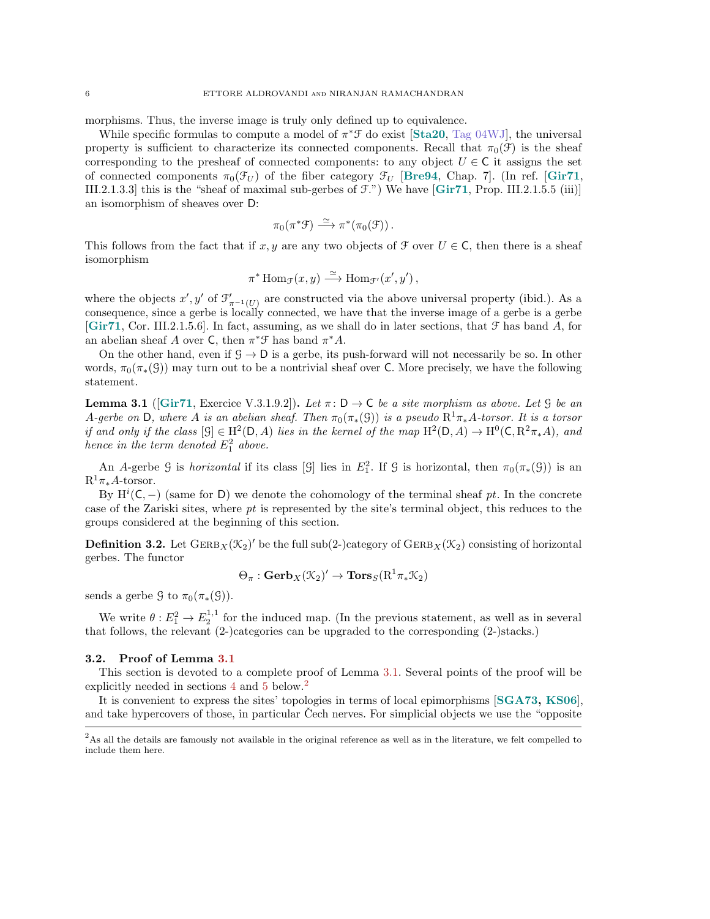morphisms. Thus, the inverse image is truly only defined up to equivalence.

While specific formulas to compute a model of  $\pi^* \mathcal{F}$  do exist [[Sta20](#page-27-2), [Tag 04WJ\]](https://stacks.math.columbia.edu/tag/04WJ), the universal property is sufficient to characterize its connected components. Recall that  $\pi_0(\mathcal{F})$  is the sheaf corresponding to the presheaf of connected components: to any object  $U \in \mathbb{C}$  it assigns the set of connected components  $\pi_0(\mathcal{F}_U)$  of the fiber category  $\mathcal{F}_U$  [[Bre94](#page-25-7), Chap. 7]. (In ref. [[Gir71](#page-26-0), III.2.1.3.3] this is the "sheaf of maximal sub-gerbes of F.") We have [[Gir71](#page-26-0), Prop. III.2.1.5.5 (iii)] an isomorphism of sheaves over D:

$$
\pi_0(\pi^* \mathfrak{F}) \stackrel{\simeq}{\longrightarrow} \pi^*(\pi_0(\mathfrak{F})).
$$

This follows from the fact that if x, y are any two objects of  $\mathcal F$  over  $U \in \mathsf C$ , then there is a sheaf isomorphism

$$
\pi^* \operatorname{Hom}_{\mathcal{F}}(x, y) \xrightarrow{\simeq} \operatorname{Hom}_{\mathcal{F}'}(x', y'),
$$

where the objects  $x', y'$  of  $\mathcal{F}'_{\pi^{-1}(U)}$  are constructed via the above universal property (ibid.). As a consequence, since a gerbe is locally connected, we have that the inverse image of a gerbe is a gerbe [[Gir71](#page-26-0), Cor. III.2.1.5.6]. In fact, assuming, as we shall do in later sections, that  $\mathcal F$  has band  $A$ , for an abelian sheaf A over C, then  $\pi^* \mathcal{F}$  has band  $\pi^* A$ .

On the other hand, even if  $G \rightarrow D$  is a gerbe, its push-forward will not necessarily be so. In other words,  $\pi_0(\pi_*(\mathcal{G}))$  may turn out to be a nontrivial sheaf over C. More precisely, we have the following statement.

<span id="page-5-0"></span>**Lemma 3.1** ([[Gir71](#page-26-0), Exercice V.3.1.9.2]). Let  $\pi: D \to C$  be a site morphism as above. Let G be an A-gerbe on D, where A is an abelian sheaf. Then  $\pi_0(\pi_*(\mathcal{G}))$  is a pseudo  $\mathrm{R}^1\pi_*\mathrm{A}$ -torsor. It is a torsor if and only if the class  $[\mathcal{G}] \in \mathrm{H}^2(\mathsf{D}, A)$  lies in the kernel of the map  $\mathrm{H}^2(\mathsf{D}, A) \to \mathrm{H}^0(\mathsf{C}, \mathrm{R}^2 \pi_* A)$ , and hence in the term denoted  $E_1^2$  above.

An A-gerbe G is *horizontal* if its class [G] lies in  $E_1^2$ . If G is horizontal, then  $\pi_0(\pi_*(\mathcal{G}))$  is an  $R^1\pi_*A$ -torsor.

By  $\mathrm{H}^i(\mathsf{C},-)$  (same for D) we denote the cohomology of the terminal sheaf pt. In the concrete case of the Zariski sites, where pt is represented by the site's terminal object, this reduces to the groups considered at the beginning of this section.

<span id="page-5-2"></span>**Definition 3.2.** Let  $\text{GERB}_X(\mathcal{K}_2)$  be the full sub(2-)category of  $\text{GERB}_X(\mathcal{K}_2)$  consisting of horizontal gerbes. The functor

$$
\Theta_{\pi} : \mathbf{Gerb}_X(\mathcal{K}_2)' \to \mathbf{Tors}_S(\mathrm{R}^1\pi_*\mathcal{K}_2)
$$

sends a gerbe  $\mathfrak{G}$  to  $\pi_0(\pi_*(\mathfrak{G})).$ 

We write  $\theta: E_1^2 \to E_2^{1,1}$  for the induced map. (In the previous statement, as well as in several that follows, the relevant (2-)categories can be upgraded to the corresponding (2-)stacks.)

#### 3.2. Proof of Lemma [3.1](#page-5-0)

This section is devoted to a complete proof of Lemma [3.1.](#page-5-0) Several points of the proof will be explicitly needed in sections [4](#page-10-0) and [5](#page-15-0) below.<sup>[2](#page-5-1)</sup>

It is convenient to express the sites' topologies in terms of local epimorphisms [[SGA73,](#page-27-0) [KS06](#page-26-8)], and take hypercovers of those, in particular Čech nerves. For simplicial objects we use the "opposite"

<span id="page-5-1"></span> $^{2}$ As all the details are famously not available in the original reference as well as in the literature, we felt compelled to include them here.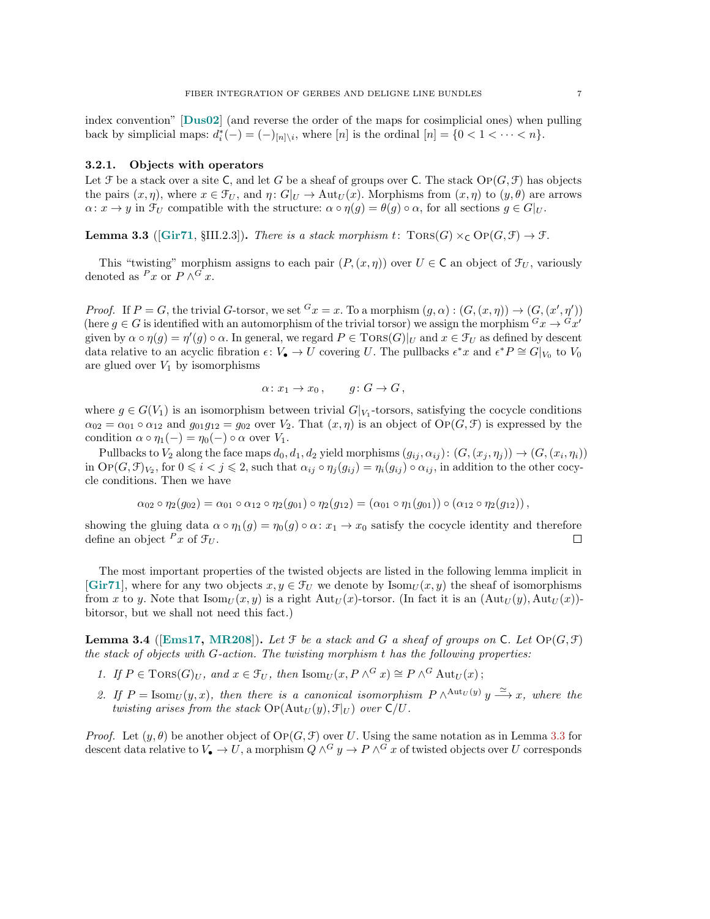index convention" [[Dus02](#page-25-8)] (and reverse the order of the maps for cosimplicial ones) when pulling back by simplicial maps:  $d_i^*(-) = (-)_{[n]\setminus i}$ , where  $[n]$  is the ordinal  $[n] = \{0 < 1 < \cdots < n\}$ .

#### 3.2.1. Objects with operators

Let  $\mathcal F$  be a stack over a site C, and let G be a sheaf of groups over C. The stack  $\mathrm{Op}(G,\mathcal F)$  has objects the pairs  $(x, \eta)$ , where  $x \in \mathcal{F}_U$ , and  $\eta \colon G|_U \to \text{Aut}_U(x)$ . Morphisms from  $(x, \eta)$  to  $(y, \theta)$  are arrows  $\alpha: x \to y$  in  $\mathcal{F}_U$  compatible with the structure:  $\alpha \circ \eta(q) = \theta(q) \circ \alpha$ , for all sections  $q \in G|_U$ .

<span id="page-6-0"></span>**Lemma 3.3** ([[Gir71](#page-26-0), §III.2.3]). There is a stack morphism t:  $Tors(G) \times_C OP(G, \mathcal{F}) \rightarrow \mathcal{F}$ .

This "twisting" morphism assigns to each pair  $(P,(x, \eta))$  over  $U \in \mathsf{C}$  an object of  $\mathcal{F}_U$ , variously denoted as  $P x$  or  $P \wedge^G x$ .

*Proof.* If  $P = G$ , the trivial G-torsor, we set  ${}^G x = x$ . To a morphism  $(g, \alpha) : (G, (x, \eta)) \to (G, (x', \eta'))$ (here  $g \in G$  is identified with an automorphism of the trivial torsor) we assign the morphism  $^G x \to ^G x'$ given by  $\alpha \circ \eta(g) = \eta'(g) \circ \alpha$ . In general, we regard  $P \in \text{TORS}(G)|_U$  and  $x \in \mathcal{F}_U$  as defined by descent data relative to an acyclic fibration  $\epsilon: V_{\bullet} \to U$  covering U. The pullbacks  $\epsilon^* x$  and  $\epsilon^* P \cong G|_{V_0}$  to  $V_0$ are glued over  $V_1$  by isomorphisms

$$
\alpha \colon x_1 \to x_0 \,, \qquad g \colon G \to G \,,
$$

where  $g \in G(V_1)$  is an isomorphism between trivial  $G|_{V_1}$ -torsors, satisfying the cocycle conditions  $\alpha_{02} = \alpha_{01} \circ \alpha_{12}$  and  $g_{01}g_{12} = g_{02}$  over  $V_2$ . That  $(x, \eta)$  is an object of  $\text{OP}(G, \mathcal{F})$  is expressed by the condition  $\alpha \circ \eta_1(-) = \eta_0(-) \circ \alpha$  over  $V_1$ .

Pullbacks to  $V_2$  along the face maps  $d_0, d_1, d_2$  yield morphisms  $(g_{ij}, \alpha_{ij}) : (G, (x_j, \eta_j)) \to (G, (x_i, \eta_i))$ in  $\text{Op}(G, \mathcal{F})_{V_2}$ , for  $0 \leq i < j \leq 2$ , such that  $\alpha_{ij} \circ \eta_j(g_{ij}) = \eta_i(g_{ij}) \circ \alpha_{ij}$ , in addition to the other cocycle conditions. Then we have

$$
\alpha_{02} \circ \eta_2(g_{02}) = \alpha_{01} \circ \alpha_{12} \circ \eta_2(g_{01}) \circ \eta_2(g_{12}) = (\alpha_{01} \circ \eta_1(g_{01})) \circ (\alpha_{12} \circ \eta_2(g_{12}))
$$

showing the gluing data  $\alpha \circ \eta_1(g) = \eta_0(g) \circ \alpha: x_1 \to x_0$  satisfy the cocycle identity and therefore define an object  $^P x$  of  $\mathcal{F}_U$ .  $\Box$ 

The most important properties of the twisted objects are listed in the following lemma implicit in [[Gir71](#page-26-0)], where for any two objects  $x, y \in \mathcal{F}_U$  we denote by Isom $U(x, y)$  the sheaf of isomorphisms from x to y. Note that  $\text{Isom}_U(x, y)$  is a right  $\text{Aut}_U(x)$ -torsor. (In fact it is an  $(\text{Aut}_U(y), \text{Aut}_U(x))$ bitorsor, but we shall not need this fact.)

<span id="page-6-1"></span>**Lemma 3.4** ([[Ems17,](#page-26-9) [MR208](#page-27-6)]). Let  $\mathcal F$  be a stack and  $G$  a sheaf of groups on  $\mathsf C$ . Let  $\mathrm{Op}(G,\mathcal F)$ the stack of objects with  $G$ -action. The twisting morphism  $t$  has the following properties:

- <span id="page-6-2"></span>1. If  $P \in \text{Tors}(G)_U$ , and  $x \in \mathcal{F}_U$ , then  $\text{Isom}_U(x, P \wedge^G x) \cong P \wedge^G \text{Aut}_U(x)$ ;
- <span id="page-6-3"></span>2. If  $P = \text{Isom}_U(y, x)$ , then there is a canonical isomorphism  $P \wedge^{\text{Aut}_U(y)} y \stackrel{\simeq}{\longrightarrow} x$ , where the twisting arises from the stack  $\text{Op}(\text{Aut}_U(y), \mathcal{F}|_U)$  over  $\text{C}/U$ .

*Proof.* Let  $(y, \theta)$  be another object of  $\text{Op}(G, \mathcal{F})$  over U. Using the same notation as in Lemma [3.3](#page-6-0) for descent data relative to  $V_{\bullet} \to U$ , a morphism  $Q \wedge^G y \to P \wedge^G x$  of twisted objects over U corresponds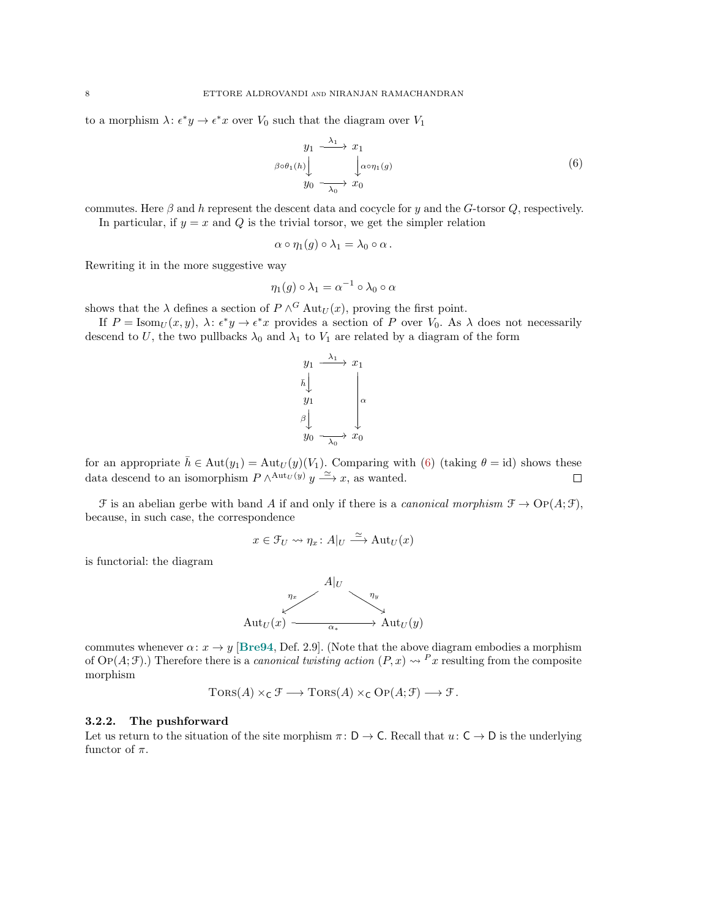to a morphism  $\lambda: \epsilon^* y \to \epsilon^* x$  over  $V_0$  such that the diagram over  $V_1$ 

<span id="page-7-0"></span>
$$
y_1 \xrightarrow{\lambda_1} x_1
$$
  
\n
$$
\beta \circ \theta_1(h) \downarrow \qquad \qquad \downarrow \alpha \circ \eta_1(g)
$$
  
\n
$$
y_0 \xrightarrow{\lambda_0} x_0
$$
 (6)

commutes. Here  $\beta$  and h represent the descent data and cocycle for y and the G-torsor Q, respectively. In particular, if  $y = x$  and Q is the trivial torsor, we get the simpler relation

$$
\alpha \circ \eta_1(g) \circ \lambda_1 = \lambda_0 \circ \alpha.
$$

Rewriting it in the more suggestive way

$$
\eta_1(g)\circ\lambda_1=\alpha^{-1}\circ\lambda_0\circ\alpha
$$

shows that the  $\lambda$  defines a section of  $P \wedge^G \text{Aut}_U(x)$ , proving the first point.

If  $P = \text{Isom}_U(x, y)$ ,  $\lambda: \epsilon^* y \to \epsilon^* x$  provides a section of P over  $V_0$ . As  $\lambda$  does not necessarily descend to U, the two pullbacks  $\lambda_0$  and  $\lambda_1$  to  $V_1$  are related by a diagram of the form



for an appropriate  $\bar{h} \in Aut(y_1) = Aut_U(y)(V_1)$ . Comparing with [\(6\)](#page-7-0) (taking  $\theta = id$ ) shows these data descend to an isomorphism  $P \wedge^{\mathrm{Aut}_U(y)} y \stackrel{\simeq}{\longrightarrow} x$ , as wanted.  $\Box$ 

 $\mathcal F$  is an abelian gerbe with band A if and only if there is a *canonical morphism*  $\mathcal F \to \mathrm{Op}(A; \mathcal F)$ , because, in such case, the correspondence

$$
x \in \mathcal{F}_U \leadsto \eta_x \colon A|_U \xrightarrow{\simeq} \mathrm{Aut}_U(x)
$$

is functorial: the diagram



commutes whenever  $\alpha: x \to y$  [[Bre94](#page-25-7), Def. 2.9]. (Note that the above diagram embodies a morphism of Op(A; F).) Therefore there is a *canonical twisting action*  $(P, x) \rightsquigarrow {}^P x$  resulting from the composite morphism

$$
Tors(A) \times_C \mathcal{F} \longrightarrow Tors(A) \times_C OP(A; \mathcal{F}) \longrightarrow \mathcal{F}.
$$

#### 3.2.2. The pushforward

Let us return to the situation of the site morphism  $\pi: D \to C$ . Recall that  $u: C \to D$  is the underlying functor of  $\pi$ .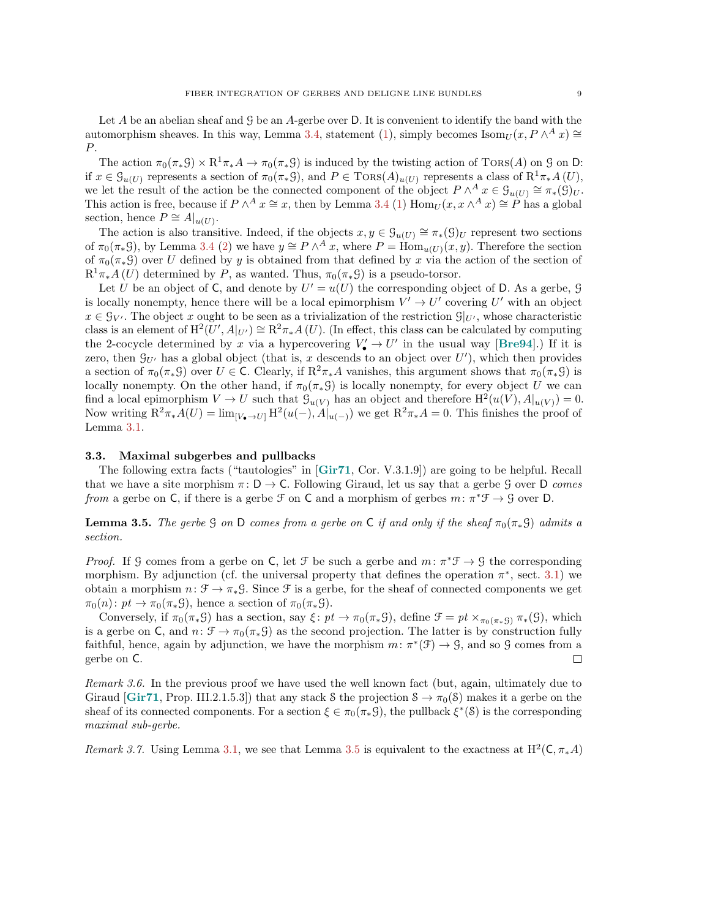Let  $A$  be an abelian sheaf and  $\mathcal G$  be an  $A$ -gerbe over  $D$ . It is convenient to identify the band with the automorphism sheaves. In this way, Lemma [3.4,](#page-6-1) statement [\(1\)](#page-6-2), simply becomes  $\text{Isom}_U(x, P \wedge^A x) \cong$ P.

The action  $\pi_0(\pi_*\mathcal{G}) \times \mathrm{R}^1\pi_*A \to \pi_0(\pi_*\mathcal{G})$  is induced by the twisting action of TORS(A) on  $\mathcal{G}$  on D: if  $x \in \mathcal{G}_{u(U)}$  represents a section of  $\pi_0(\pi_*\mathcal{G})$ , and  $P \in \text{TORS}(A)_{u(U)}$  represents a class of  $\mathbb{R}^1\pi_*A(U)$ , we let the result of the action be the connected component of the object  $P \wedge^A x \in \mathcal{G}_{u(U)} \cong \pi_*(\mathcal{G})_U$ . This action is free, because if  $P \wedge^A x \cong x$ , then by Lemma [3.4](#page-6-1) [\(1\)](#page-6-2)  $\text{Hom}_U(x, x \wedge^A x) \cong P$  has a global section, hence  $P \cong A|_{u(U)}$ .

The action is also transitive. Indeed, if the objects  $x, y \in \mathcal{G}_{u(U)} \cong \pi_*(\mathcal{G})_U$  represent two sections of  $\pi_0(\pi_*\mathcal{G})$ , by Lemma [3.4](#page-6-1) [\(2\)](#page-6-3) we have  $y \cong P \wedge^A x$ , where  $P = \text{Hom}_{u(U)}(x, y)$ . Therefore the section of  $\pi_0(\pi_*\mathcal{G})$  over U defined by y is obtained from that defined by x via the action of the section of  $R^1\pi_*A(U)$  determined by P, as wanted. Thus,  $\pi_0(\pi_*\mathcal{G})$  is a pseudo-torsor.

Let U be an object of C, and denote by  $U' = u(U)$  the corresponding object of D. As a gerbe, G is locally nonempty, hence there will be a local epimorphism  $V' \to U'$  covering U' with an object  $x \in \mathcal{G}_{V'}$ . The object x ought to be seen as a trivialization of the restriction  $\mathcal{G}|_{U'}$ , whose characteristic class is an element of  $\mathrm{H}^2(U',A|_{U'})\cong\mathrm{R}^2\pi_*A(U)$ . (In effect, this class can be calculated by computing the 2-cocycle determined by x via a hypercovering  $V'_{\bullet} \to U'$  in the usual way [[Bre94](#page-25-7)].) If it is zero, then  $\mathcal{G}_{U'}$  has a global object (that is, x descends to an object over  $U'$ ), which then provides a section of  $\pi_0(\pi_*S)$  over  $U \in \mathsf{C}$ . Clearly, if  $\mathbb{R}^2 \pi_*A$  vanishes, this argument shows that  $\pi_0(\pi_*S)$  is locally nonempty. On the other hand, if  $\pi_0(\pi_*S)$  is locally nonempty, for every object U we can find a local epimorphism  $V \to U$  such that  $\mathcal{G}_{u(V)}$  has an object and therefore  $H^2(u(V), A|_{u(V)}) = 0$ . Now writing  $R^2\pi_*A(U) = \lim_{[V_{\bullet} \to U]} H^2(u(-), A|_{u(-)})$  we get  $R^2\pi_*A = 0$ . This finishes the proof of Lemma [3.1.](#page-5-0)

#### 3.3. Maximal subgerbes and pullbacks

The following extra facts ("tautologies" in [[Gir71](#page-26-0), Cor. V.3.1.9]) are going to be helpful. Recall that we have a site morphism  $\pi: D \to C$ . Following Giraud, let us say that a gerbe G over D comes from a gerbe on C, if there is a gerbe  $\mathcal F$  on C and a morphism of gerbes  $m: \pi^* \mathcal F \to \mathcal G$  over D.

<span id="page-8-0"></span>**Lemma 3.5.** The gerbe G on D comes from a gerbe on C if and only if the sheaf  $\pi_0(\pi_*S)$  admits a section.

*Proof.* If G comes from a gerbe on C, let  $\mathcal F$  be such a gerbe and  $m: \pi^* \mathcal F \to \mathcal G$  the corresponding morphism. By adjunction (cf. the universal property that defines the operation  $\pi^*$ , sect. [3.1\)](#page-4-1) we obtain a morphism  $n: \mathcal{F} \to \pi_*\mathcal{G}$ . Since  $\mathcal{F}$  is a gerbe, for the sheaf of connected components we get  $\pi_0(n)$ :  $pt \to \pi_0(\pi_*S)$ , hence a section of  $\pi_0(\pi_*S)$ .

Conversely, if  $\pi_0(\pi_*\mathcal{G})$  has a section, say  $\xi: pt \to \pi_0(\pi_*\mathcal{G})$ , define  $\mathcal{F} = pt \times_{\pi_0(\pi_*\mathcal{G})} \pi_*(\mathcal{G})$ , which is a gerbe on C, and  $n: \mathcal{F} \to \pi_0(\pi_* \mathcal{G})$  as the second projection. The latter is by construction fully faithful, hence, again by adjunction, we have the morphism  $m: \pi^*(\mathcal{F}) \to \mathcal{G}$ , and so  $\mathcal{G}$  comes from a gerbe on C.  $\Box$ 

Remark 3.6. In the previous proof we have used the well known fact (but, again, ultimately due to Giraud  $[\text{Gir71}, \text{Prop. III.2.1.5.3}]$  $[\text{Gir71}, \text{Prop. III.2.1.5.3}]$  $[\text{Gir71}, \text{Prop. III.2.1.5.3}]$  that any stack S the projection  $S \to \pi_0(S)$  makes it a gerbe on the sheaf of its connected components. For a section  $\xi \in \pi_0(\pi_*\mathcal{G})$ , the pullback  $\xi^*(\mathcal{S})$  is the corresponding maximal sub-gerbe.

Remark 3.7. Using Lemma [3.1,](#page-5-0) we see that Lemma [3.5](#page-8-0) is equivalent to the exactness at  $H^2(\mathsf{C}, \pi_* A)$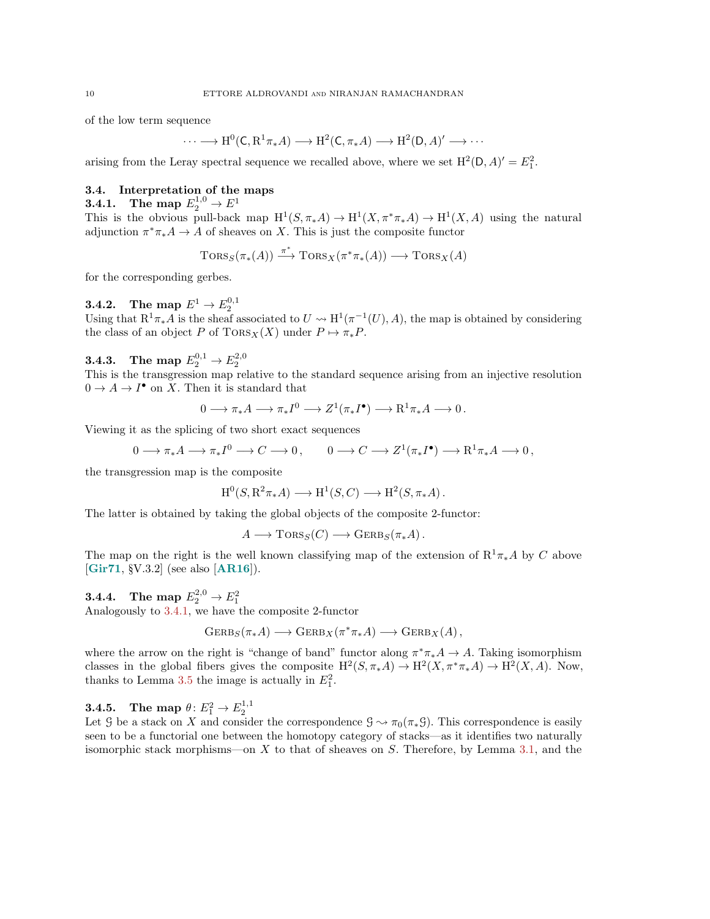of the low term sequence

$$
\cdots \longrightarrow H^0(C, R^1 \pi_* A) \longrightarrow H^2(C, \pi_* A) \longrightarrow H^2(D, A)' \longrightarrow \cdots
$$

arising from the Leray spectral sequence we recalled above, where we set  $H^2(D, A)' = E_1^2$ .

## 3.4. Interpretation of the maps

<span id="page-9-0"></span>**3.4.1.** The map  $E_2^{1,0} \to E^1$ This is the obvious pull-back map  $H^1(S, \pi_*A) \to H^1(X, \pi^*\pi_*A) \to H^1(X, A)$  using the natural adjunction  $\pi^* \pi_* A \to A$  of sheaves on X. This is just the composite functor

$$
\text{Tors}_S(\pi_*(A)) \xrightarrow{\pi^*} \text{Tors}_X(\pi^*\pi_*(A)) \longrightarrow \text{Tors}_X(A)
$$

for the corresponding gerbes.

# $\mathbf{3.4.2.} \quad$  The map  $E^1 \rightarrow E_2^{0,1}$

Using that  $R^1\pi_*A$  is the sheaf associated to  $U \leadsto H^1(\pi^{-1}(U),A)$ , the map is obtained by considering the class of an object P of  $TORS_X(X)$  under  $P \mapsto \pi_*P$ .

# **3.4.3.** The map  $E_2^{0,1} \to E_2^{2,0}$

This is the transgression map relative to the standard sequence arising from an injective resolution  $0 \to A \to I^{\bullet}$  on X. Then it is standard that

$$
0 \longrightarrow \pi_* A \longrightarrow \pi_* I^0 \longrightarrow Z^1(\pi_* I^{\bullet}) \longrightarrow \mathrm{R}^1 \pi_* A \longrightarrow 0 \, .
$$

Viewing it as the splicing of two short exact sequences

$$
0 \longrightarrow \pi_*A \longrightarrow \pi_*I^0 \longrightarrow C \longrightarrow 0, \qquad 0 \longrightarrow C \longrightarrow Z^1(\pi_*I^{\bullet}) \longrightarrow \mathrm{R}^1\pi_*A \longrightarrow 0,
$$

the transgression map is the composite

$$
H^0(S, R^2 \pi_* A) \longrightarrow H^1(S, C) \longrightarrow H^2(S, \pi_* A).
$$

The latter is obtained by taking the global objects of the composite 2-functor:

$$
A \longrightarrow \text{TORS}_S(C) \longrightarrow \text{GERB}_S(\pi_*A).
$$

The map on the right is the well known classifying map of the extension of  $R^1\pi_*A$  by C above [[Gir71](#page-26-0), §V.3.2] (see also [[AR16](#page-25-0)]).

# **3.4.4.** The map  $E_2^{2,0} \to E_1^2$

Analogously to [3.4.1,](#page-9-0) we have the composite 2-functor

$$
GERB_S(\pi_*A) \longrightarrow \text{GERB}_X(\pi^*\pi_*A) \longrightarrow \text{GERB}_X(A),
$$

where the arrow on the right is "change of band" functor along  $\pi^*\pi_*A \to A$ . Taking isomorphism classes in the global fibers gives the composite  $H^2(S, \pi_* A) \to H^2(X, \pi^* \pi_* A) \to H^2(X, A)$ . Now, thanks to Lemma [3.5](#page-8-0) the image is actually in  $E_1^2$ .

**3.4.5.** The map  $\theta: E_1^2 \to E_2^{1,1}$ 

Let G be a stack on X and consider the correspondence  $\mathcal{G} \to \pi_0(\pi_*\mathcal{G})$ . This correspondence is easily seen to be a functorial one between the homotopy category of stacks—as it identifies two naturally isomorphic stack morphisms—on X to that of sheaves on S. Therefore, by Lemma [3.1,](#page-5-0) and the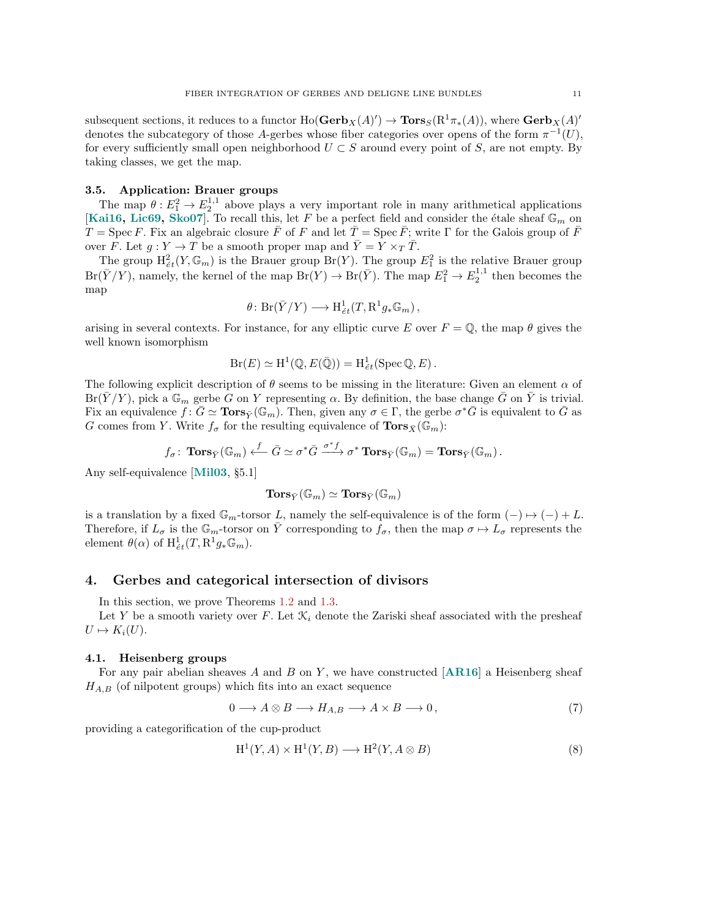subsequent sections, it reduces to a functor  $\text{Ho}(\mathbf{Gerb}_X(A)^{\prime}) \to \mathbf{Tors}_S(\mathbb{R}^1 \pi_*(A)),$  where  $\mathbf{Gerb}_X(A)^{\prime}$ denotes the subcategory of those A-gerbes whose fiber categories over opens of the form  $\pi^{-1}(U)$ , for every sufficiently small open neighborhood  $U \subset S$  around every point of S, are not empty. By taking classes, we get the map.

## 3.5. Application: Brauer groups

The map  $\theta: E_1^2 \to E_2^{1,1}$  above plays a very important role in many arithmetical applications [[Kai16,](#page-26-10) [Lic69,](#page-26-11) [Sko07](#page-27-7)]. To recall this, let F be a perfect field and consider the étale sheaf  $\mathbb{G}_m$  on  $T = \text{Spec } F$ . Fix an algebraic closure  $\bar{F}$  of F and let  $\bar{T} = \text{Spec } \bar{F}$ ; write Γ for the Galois group of  $\bar{F}$ over F. Let  $g: Y \to T$  be a smooth proper map and  $\overline{Y} = Y \times_T \overline{T}$ .

The group  $H^2_{\acute{e}t}(Y,\mathbb{G}_m)$  is the Brauer group  $Br(Y)$ . The group  $E_1^2$  is the relative Brauer group  $Br(\bar{Y}/Y)$ , namely, the kernel of the map  $Br(Y) \to Br(\bar{Y})$ . The map  $E_1^2 \to E_2^{1,1}$  then becomes the map

$$
\theta\colon Br(\bar{Y}/Y)\longrightarrow \mathrm{H}^1_{\acute{e}t}(T,\mathrm{R}^1g_*\mathbb{G}_m)\,,
$$

arising in several contexts. For instance, for any elliptic curve E over  $F = \mathbb{Q}$ , the map  $\theta$  gives the well known isomorphism

$$
Br(E) \simeq H^1(\mathbb{Q}, E(\bar{\mathbb{Q}})) = H^1_{\acute{e}t}(\mathrm{Spec} \, \mathbb{Q}, E).
$$

The following explicit description of  $\theta$  seems to be missing in the literature: Given an element  $\alpha$  of  $Br(\overline{Y}/Y)$ , pick a  $\mathbb{G}_m$  gerbe G on Y representing  $\alpha$ . By definition, the base change G on Y is trivial. Fix an equivalence  $f: \bar{G} \simeq \textbf{Tors}_{\bar{Y}}(\mathbb{G}_m)$ . Then, given any  $\sigma \in \Gamma$ , the gerbe  $\sigma^* \bar{G}$  is equivalent to  $\bar{G}$  as G comes from Y. Write  $f_{\sigma}$  for the resulting equivalence of  $\text{Tors}_{\bar{X}}(\mathbb{G}_m)$ :

$$
f_\sigma\colon \operatorname{\mathbf{Tors}}_{\bar{Y}}(\mathbb{G}_m) \stackrel{f}{\longleftarrow} \bar{G} \simeq \sigma^*\bar{G} \stackrel{\sigma^*f}{\longrightarrow} \sigma^*\operatorname{\mathbf{Tors}}_{\bar{Y}}(\mathbb{G}_m) = \operatorname{\mathbf{Tors}}_{\bar{Y}}(\mathbb{G}_m) \,.
$$

Any self-equivalence [[Mil03](#page-27-8), §5.1]

$$
\mathbf{Tors}_{\bar{Y}}(\mathbb{G}_m)\simeq \mathbf{Tors}_{\bar{Y}}(\mathbb{G}_m)
$$

is a translation by a fixed  $\mathbb{G}_m$ -torsor L, namely the self-equivalence is of the form  $(-) \mapsto (-) + L$ . Therefore, if  $L_{\sigma}$  is the  $\mathbb{G}_m$ -torsor on  $\overline{Y}$  corresponding to  $f_{\sigma}$ , then the map  $\sigma \mapsto L_{\sigma}$  represents the element  $\theta(\alpha)$  of  $H^1_{\acute{e}t}(T, \mathbf{R}^1 g_* \mathbb{G}_m)$ .

## <span id="page-10-0"></span>4. Gerbes and categorical intersection of divisors

In this section, we prove Theorems [1.2](#page-1-1) and [1.3.](#page-1-2)

Let Y be a smooth variety over F. Let  $\mathcal{K}_i$  denote the Zariski sheaf associated with the presheaf  $U \mapsto K_i(U).$ 

## 4.1. Heisenberg groups

For any pair abelian sheaves  $A$  and  $B$  on  $Y$ , we have constructed [[AR16](#page-25-0)] a Heisenberg sheaf  $H_{A,B}$  (of nilpotent groups) which fits into an exact sequence

<span id="page-10-1"></span>
$$
0 \longrightarrow A \otimes B \longrightarrow H_{A,B} \longrightarrow A \times B \longrightarrow 0,
$$
\n<sup>(7)</sup>

providing a categorification of the cup-product

<span id="page-10-2"></span>
$$
H^1(Y, A) \times H^1(Y, B) \longrightarrow H^2(Y, A \otimes B)
$$
\n<sup>(8)</sup>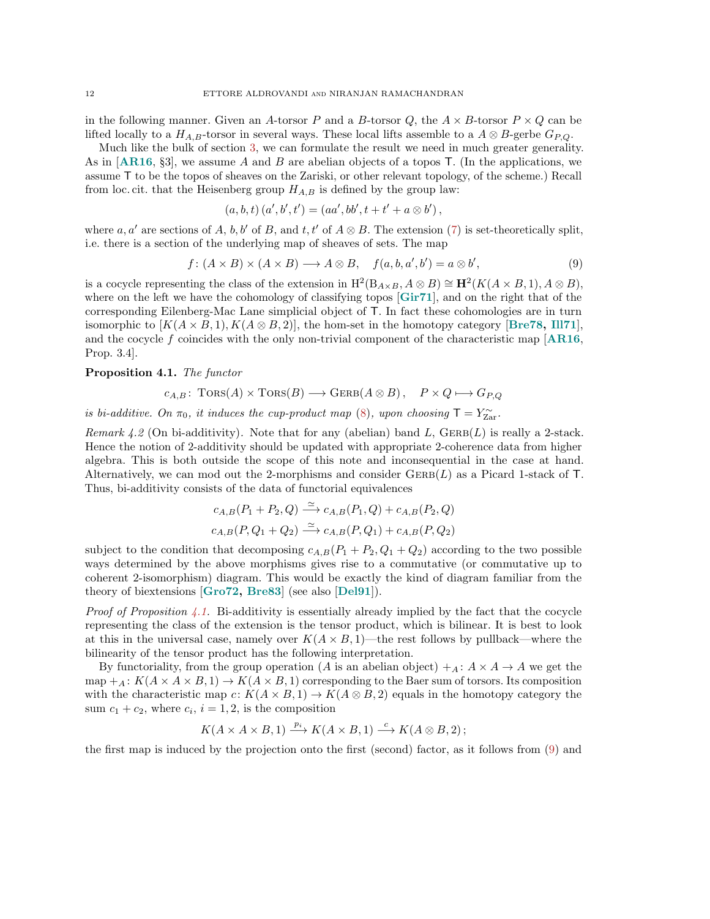in the following manner. Given an A-torsor P and a B-torsor Q, the  $A \times B$ -torsor  $P \times Q$  can be lifted locally to a  $H_{A,B}$ -torsor in several ways. These local lifts assemble to a  $A \otimes B$ -gerbe  $G_{P,Q}$ .

Much like the bulk of section [3,](#page-4-0) we can formulate the result we need in much greater generality. As in  $[AR16, §3]$  $[AR16, §3]$  $[AR16, §3]$ , we assume A and B are abelian objects of a topos T. (In the applications, we assume T to be the topos of sheaves on the Zariski, or other relevant topology, of the scheme.) Recall from loc. cit. that the Heisenberg group  $H_{A,B}$  is defined by the group law:

$$
(a, b, t) (a', b', t') = (aa', bb', t + t' + a \otimes b'),
$$

where a, a' are sections of A, b, b' of B, and t, t' of  $A \otimes B$ . The extension [\(7\)](#page-10-1) is set-theoretically split, i.e. there is a section of the underlying map of sheaves of sets. The map

<span id="page-11-1"></span>
$$
f: (A \times B) \times (A \times B) \longrightarrow A \otimes B, \quad f(a, b, a', b') = a \otimes b', \tag{9}
$$

is a cocycle representing the class of the extension in  $H^2(B_{A\times B}, A\otimes B) \cong \mathbf{H}^2(K(A\times B, 1), A\otimes B)$ , where on the left we have the cohomology of classifying topos [[Gir71](#page-26-0)], and on the right that of the corresponding Eilenberg-Mac Lane simplicial object of T. In fact these cohomologies are in turn isomorphic to  $[K(A \times B, 1), K(A \otimes B, 2)]$ , the hom-set in the homotopy category [[Bre78,](#page-25-9) [Ill71](#page-26-12)], and the cocycle f coincides with the only non-trivial component of the characteristic map  $[AR16,$  $[AR16,$  $[AR16,$ Prop. 3.4].

#### <span id="page-11-0"></span>Proposition 4.1. The functor

$$
c_{A,B} \colon \operatorname{TORS}(A) \times \operatorname{TORS}(B) \longrightarrow \operatorname{GERB}(A \otimes B), \quad P \times Q \longmapsto G_{P,Q}
$$

is bi-additive. On  $\pi_0$ , it induces the cup-product map [\(8\)](#page-10-2), upon choosing  $T = Y_{\text{Zar}}^{\sim}$ .

<span id="page-11-2"></span>Remark 4.2 (On bi-additivity). Note that for any (abelian) band L,  $\text{GERB}(L)$  is really a 2-stack. Hence the notion of 2-additivity should be updated with appropriate 2-coherence data from higher algebra. This is both outside the scope of this note and inconsequential in the case at hand. Alternatively, we can mod out the 2-morphisms and consider  $\text{GER}(L)$  as a Picard 1-stack of T. Thus, bi-additivity consists of the data of functorial equivalences

$$
c_{A,B}(P_1 + P_2, Q) \xrightarrow{\simeq} c_{A,B}(P_1, Q) + c_{A,B}(P_2, Q)
$$
  

$$
c_{A,B}(P, Q_1 + Q_2) \xrightarrow{\simeq} c_{A,B}(P, Q_1) + c_{A,B}(P, Q_2)
$$

subject to the condition that decomposing  $c_{A,B}(P_1 + P_2, Q_1 + Q_2)$  according to the two possible ways determined by the above morphisms gives rise to a commutative (or commutative up to coherent 2-isomorphism) diagram. This would be exactly the kind of diagram familiar from the theory of biextensions [[Gro72,](#page-26-13) [Bre83](#page-25-10)] (see also [[Del91](#page-25-11)]).

*Proof of Proposition [4.1.](#page-11-0)* Bi-additivity is essentially already implied by the fact that the cocycle representing the class of the extension is the tensor product, which is bilinear. It is best to look at this in the universal case, namely over  $K(A \times B, 1)$ —the rest follows by pullback—where the bilinearity of the tensor product has the following interpretation.

By functoriality, from the group operation (A is an abelian object)  $+_{A}: A \times A \rightarrow A$  we get the map  $+_A: K(A \times A \times B, 1) \to K(A \times B, 1)$  corresponding to the Baer sum of torsors. Its composition with the characteristic map  $c: K(A \times B, 1) \to K(A \otimes B, 2)$  equals in the homotopy category the sum  $c_1 + c_2$ , where  $c_i$ ,  $i = 1, 2$ , is the composition

$$
K(A \times A \times B, 1) \xrightarrow{p_i} K(A \times B, 1) \xrightarrow{c} K(A \otimes B, 2);
$$

the first map is induced by the projection onto the first (second) factor, as it follows from [\(9\)](#page-11-1) and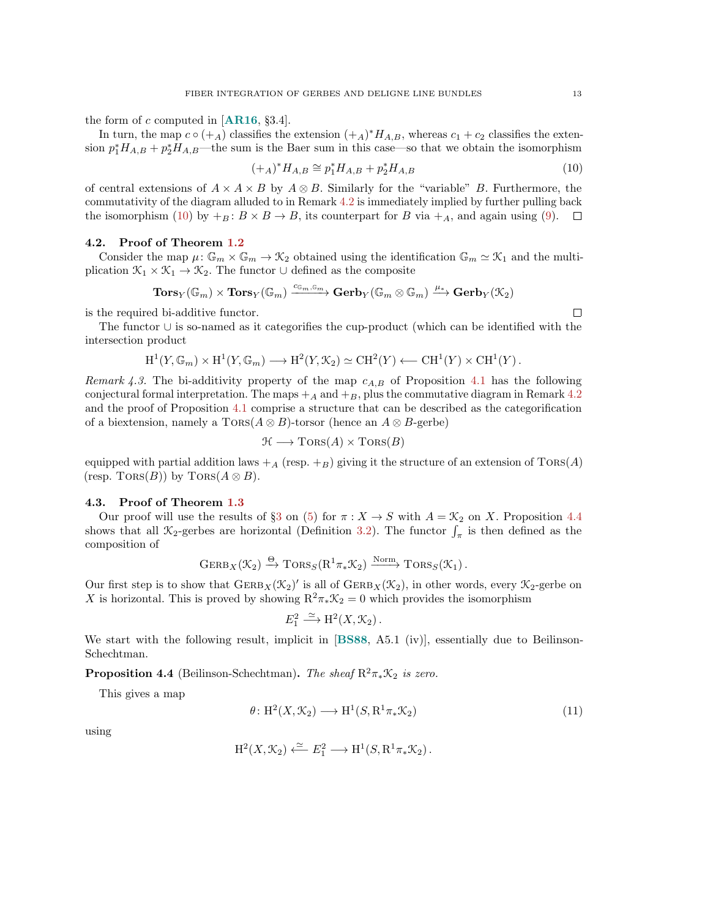the form of c computed in **.** 

In turn, the map  $c \circ (+_A)$  classifies the extension  $(+_A)^* H_{A,B}$ , whereas  $c_1 + c_2$  classifies the extension  $p_1^*H_{A,B} + p_2^*H_{A,B}$ —the sum is the Baer sum in this case—so that we obtain the isomorphism

<span id="page-12-1"></span>
$$
(+_A)^* H_{A,B} \cong p_1^* H_{A,B} + p_2^* H_{A,B} \tag{10}
$$

of central extensions of  $A \times A \times B$  by  $A \otimes B$ . Similarly for the "variable" B. Furthermore, the commutativity of the diagram alluded to in Remark [4.2](#page-11-2) is immediately implied by further pulling back the isomorphism [\(10\)](#page-12-1) by  $+_B : B \times B \to B$ , its counterpart for B via  $+_A$ , and again using [\(9\)](#page-11-1).  $\Box$ 

### 4.2. Proof of Theorem [1.2](#page-1-1)

Consider the map  $\mu: \mathbb{G}_m \times \mathbb{G}_m \to \mathcal{K}_2$  obtained using the identification  $\mathbb{G}_m \simeq \mathcal{K}_1$  and the multiplication  $\mathcal{K}_1 \times \mathcal{K}_1 \to \mathcal{K}_2$ . The functor  $\cup$  defined as the composite

$$
\mathbf{Tors}_Y(\mathbb{G}_m)\times\mathbf{Tors}_Y(\mathbb{G}_m)\xrightarrow{c_{\mathbb{G}_m,\mathbb{G}_m}}\mathbf{Gerb}_Y(\mathbb{G}_m\otimes\mathbb{G}_m)\xrightarrow{\mu_*}\mathbf{Gerb}_Y(\mathbb{X}_2)
$$

is the required bi-additive functor.

The functor ∪ is so-named as it categorifies the cup-product (which can be identified with the intersection product

$$
\mathrm{H}^1(Y,\mathbb{G}_m)\times\mathrm{H}^1(Y,\mathbb{G}_m)\longrightarrow \mathrm{H}^2(Y,\mathcal{K}_2)\simeq \mathrm{CH}^2(Y)\longleftarrow \mathrm{CH}^1(Y)\times \mathrm{CH}^1(Y).
$$

Remark 4.3. The bi-additivity property of the map  $c_{A,B}$  of Proposition [4.1](#page-11-0) has the following conjectural formal interpretation. The maps  $+_{A}$  and  $+_{B}$ , plus the commutative diagram in Remark [4.2](#page-11-2) and the proof of Proposition [4.1](#page-11-0) comprise a structure that can be described as the categorification of a biextension, namely a  $TORS(A \otimes B)$ -torsor (hence an  $A \otimes B$ -gerbe)

$$
\mathcal{H} \longrightarrow \text{TORS}(A) \times \text{TORS}(B)
$$

equipped with partial addition laws  $+_{A}$  (resp.  $+_{B}$ ) giving it the structure of an extension of TORS(A) (resp. TORS(B)) by TORS( $A \otimes B$ ).

#### 4.3. Proof of Theorem [1.3](#page-1-2)

Our proof will use the results of §[3](#page-4-0) on [\(5\)](#page-4-2) for  $\pi : X \to S$  with  $A = \mathcal{K}_2$  on X. Proposition [4.4](#page-12-0) shows that all  $\mathcal{K}_2$ -gerbes are horizontal (Definition [3.2\)](#page-5-2). The functor  $\int_{\pi}$  is then defined as the composition of

$$
GERB_X(\mathcal{K}_2) \xrightarrow{\Theta} \text{TORS}_S(R^1\pi_*\mathcal{K}_2) \xrightarrow{\text{Norm}} \text{TORS}_S(\mathcal{K}_1).
$$

Our first step is to show that  $\text{GERB}_X(\mathcal{K}_2)'$  is all of  $\text{GERB}_X(\mathcal{K}_2)$ , in other words, every  $\mathcal{K}_2$ -gerbe on X is horizontal. This is proved by showing  $R^2\pi_*\mathcal{K}_2=0$  which provides the isomorphism

$$
E_1^2 \xrightarrow{\simeq} \mathrm{H}^2(X, \mathcal{K}_2) \, .
$$

We start with the following result, implicit in [[BS88](#page-25-4), A5.1 (iv)], essentially due to Beilinson-Schechtman.

<span id="page-12-0"></span>**Proposition 4.4** (Beilinson-Schechtman). The sheaf  $R^2\pi_*\mathcal{K}_2$  is zero.

This gives a map

<span id="page-12-2"></span>
$$
\theta: H^2(X, \mathcal{K}_2) \longrightarrow H^1(S, R^1 \pi_* \mathcal{K}_2)
$$
\n
$$
(11)
$$

using

$$
\mathrm{H}^2(X,\mathcal{K}_2)\xleftarrow{\simeq} E_1^2\longrightarrow \mathrm{H}^1(S,\mathrm{R}^1\pi_*\mathcal{K}_2)\,.
$$

 $\Box$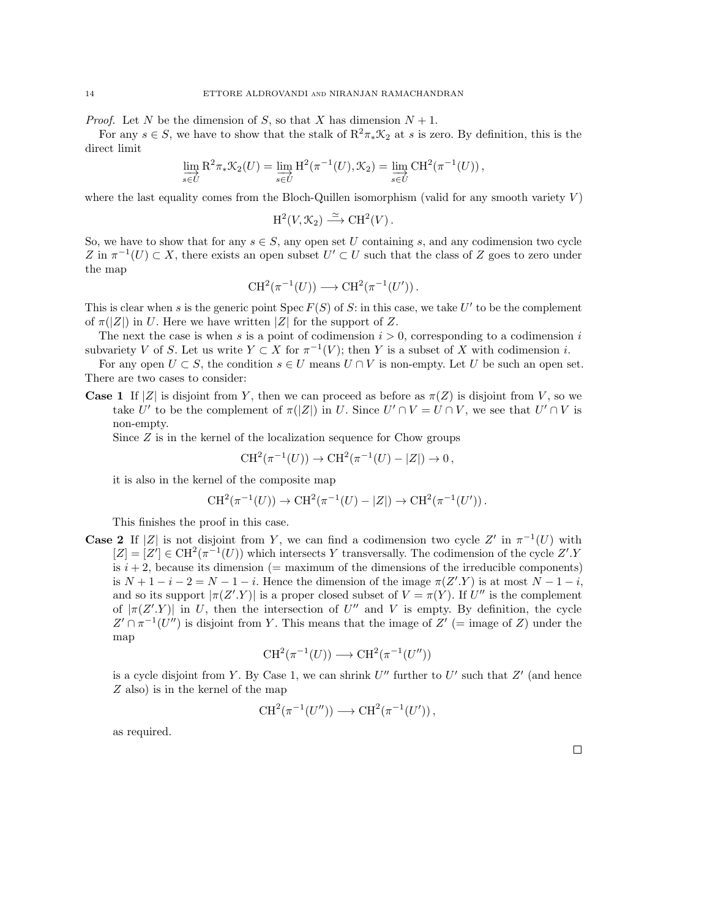*Proof.* Let N be the dimension of S, so that X has dimension  $N + 1$ .

For any  $s \in S$ , we have to show that the stalk of  $\mathbb{R}^2 \pi_* \mathcal{K}_2$  at s is zero. By definition, this is the direct limit

$$
\varinjlim_{s\in U} R^2\pi_*\mathcal{K}_2(U) = \varinjlim_{s\in U} H^2(\pi^{-1}(U), \mathcal{K}_2) = \varinjlim_{s\in U} CH^2(\pi^{-1}(U)),
$$

where the last equality comes from the Bloch-Quillen isomorphism (valid for any smooth variety  $V$ )

$$
\mathrm{H}^2(V,\mathcal{K}_2)\xrightarrow{\simeq}\mathrm{CH}^2(V).
$$

So, we have to show that for any  $s \in S$ , any open set U containing s, and any codimension two cycle Z in  $\pi^{-1}(U) \subset X$ , there exists an open subset  $U' \subset U$  such that the class of Z goes to zero under the map

$$
CH^2(\pi^{-1}(U)) \longrightarrow CH^2(\pi^{-1}(U')).
$$

This is clear when s is the generic point  $Spec F(S)$  of S: in this case, we take U' to be the complement of  $\pi(|Z|)$  in U. Here we have written |Z| for the support of Z.

The next the case is when s is a point of codimension  $i > 0$ , corresponding to a codimension i subvariety V of S. Let us write  $Y \subset X$  for  $\pi^{-1}(V)$ ; then Y is a subset of X with codimension i.

For any open  $U \subset S$ , the condition  $s \in U$  means  $U \cap V$  is non-empty. Let U be such an open set. There are two cases to consider:

**Case 1** If |Z| is disjoint from Y, then we can proceed as before as  $\pi(Z)$  is disjoint from V, so we take U' to be the complement of  $\pi(|Z|)$  in U. Since  $U' \cap V = U \cap V$ , we see that  $U' \cap V$  is non-empty.

Since Z is in the kernel of the localization sequence for Chow groups

$$
CH^2(\pi^{-1}(U)) \to CH^2(\pi^{-1}(U) - |Z|) \to 0,
$$

it is also in the kernel of the composite map

$$
CH^2(\pi^{-1}(U)) \to CH^2(\pi^{-1}(U) - |Z|) \to CH^2(\pi^{-1}(U')).
$$

This finishes the proof in this case.

**Case 2** If |Z| is not disjoint from Y, we can find a codimension two cycle Z' in  $\pi^{-1}(U)$  with  $[Z] = [Z'] \in \text{CH}^2(\pi^{-1}(U))$  which intersects Y transversally. The codimension of the cycle Z'.Y is  $i + 2$ , because its dimension (= maximum of the dimensions of the irreducible components) is  $N+1-i-2=N-1-i$ . Hence the dimension of the image  $\pi(Z'.Y)$  is at most  $N-1-i$ , and so its support  $|\pi(Z' \cdot Y)|$  is a proper closed subset of  $V = \pi(Y)$ . If U'' is the complement of  $|\pi(Z' \cdot Y)|$  in U, then the intersection of U'' and V is empty. By definition, the cycle  $Z' \cap \pi^{-1}(U'')$  is disjoint from Y. This means that the image of  $Z'$  (= image of Z) under the map

$$
CH^2(\pi^{-1}(U)) \longrightarrow CH^2(\pi^{-1}(U''))
$$

is a cycle disjoint from Y. By Case 1, we can shrink  $U''$  further to  $U'$  such that  $Z'$  (and hence Z also) is in the kernel of the map

$$
CH^2(\pi^{-1}(U'')) \longrightarrow CH^2(\pi^{-1}(U'))
$$
,

as required.

 $\Box$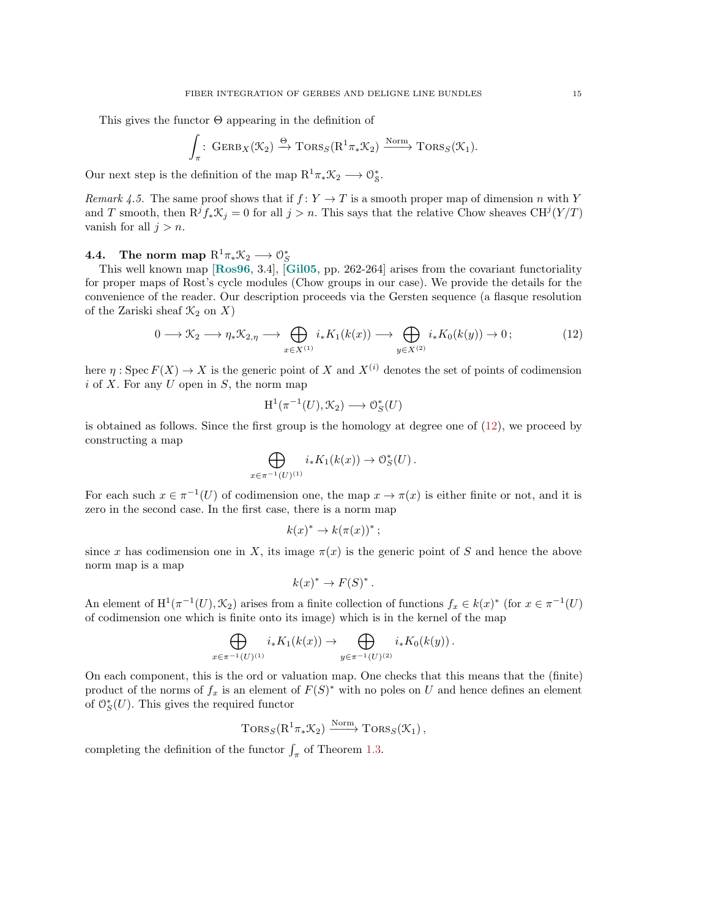This gives the functor Θ appearing in the definition of

$$
\int_{\pi} : \text{GERB}_X(\mathcal{K}_2) \xrightarrow{\Theta} \text{TORS}_S(\mathrm{R}^1 \pi_* \mathcal{K}_2) \xrightarrow{\text{Norm}} \text{TORS}_S(\mathcal{K}_1).
$$

Our next step is the definition of the map  $R^1\pi_*\mathcal{K}_2 \longrightarrow \mathcal{O}_{\mathcal{S}}^*$ .

Remark 4.5. The same proof shows that if  $f: Y \to T$  is a smooth proper map of dimension n with Y and T smooth, then  $R^{j}f_{*}\mathcal{K}_{j}=0$  for all  $j>n$ . This says that the relative Chow sheaves  $CH^{j}(Y/T)$ vanish for all  $j > n$ .

## <span id="page-14-1"></span>4.4. The norm map  $\mathrm{R}^1\pi_*\mathcal{K}_2\longrightarrow \mathcal{O}_S^*$

This well known map [[Ros96](#page-27-9), 3.4], [[Gil05](#page-26-14), pp. 262-264] arises from the covariant functoriality for proper maps of Rost's cycle modules (Chow groups in our case). We provide the details for the convenience of the reader. Our description proceeds via the Gersten sequence (a flasque resolution of the Zariski sheaf  $\mathcal{K}_2$  on X)

<span id="page-14-0"></span>
$$
0 \longrightarrow \mathcal{K}_2 \longrightarrow \eta_* \mathcal{K}_{2,\eta} \longrightarrow \bigoplus_{x \in X^{(1)}} i_* K_1(k(x)) \longrightarrow \bigoplus_{y \in X^{(2)}} i_* K_0(k(y)) \longrightarrow 0;
$$
 (12)

here  $\eta: \operatorname{Spec} F(X) \to X$  is the generic point of X and  $X^{(i)}$  denotes the set of points of codimension  $i$  of X. For any U open in S, the norm map

$$
H^1(\pi^{-1}(U), \mathcal{K}_2) \longrightarrow \mathcal{O}_S^*(U)
$$

is obtained as follows. Since the first group is the homology at degree one of [\(12\)](#page-14-0), we proceed by constructing a map

$$
\bigoplus_{x \in \pi^{-1}(U)^{(1)}} i_* K_1(k(x)) \to \mathcal{O}_S^*(U) .
$$

For each such  $x \in \pi^{-1}(U)$  of codimension one, the map  $x \to \pi(x)$  is either finite or not, and it is zero in the second case. In the first case, there is a norm map

$$
k(x)^* \to k(\pi(x))^* \, ;
$$

since x has codimension one in X, its image  $\pi(x)$  is the generic point of S and hence the above norm map is a map

$$
k(x)^* \to F(S)^*.
$$

An element of  $H^1(\pi^{-1}(U), \mathcal{K}_2)$  arises from a finite collection of functions  $f_x \in k(x)^*$  (for  $x \in \pi^{-1}(U)$ ) of codimension one which is finite onto its image) which is in the kernel of the map

$$
\bigoplus_{x \in \pi^{-1}(U)^{(1)}} i_* K_1(k(x)) \to \bigoplus_{y \in \pi^{-1}(U)^{(2)}} i_* K_0(k(y)).
$$

On each component, this is the ord or valuation map. One checks that this means that the (finite) product of the norms of  $f_x$  is an element of  $F(S)^*$  with no poles on U and hence defines an element of  $\mathcal{O}_S^*(U)$ . This gives the required functor

$$
TORS_S(R^1\pi_*\mathcal{K}_2) \xrightarrow{\text{Norm}} TORS_S(\mathcal{K}_1),
$$

completing the definition of the functor  $\int_{\pi}$  of Theorem [1.3.](#page-1-2)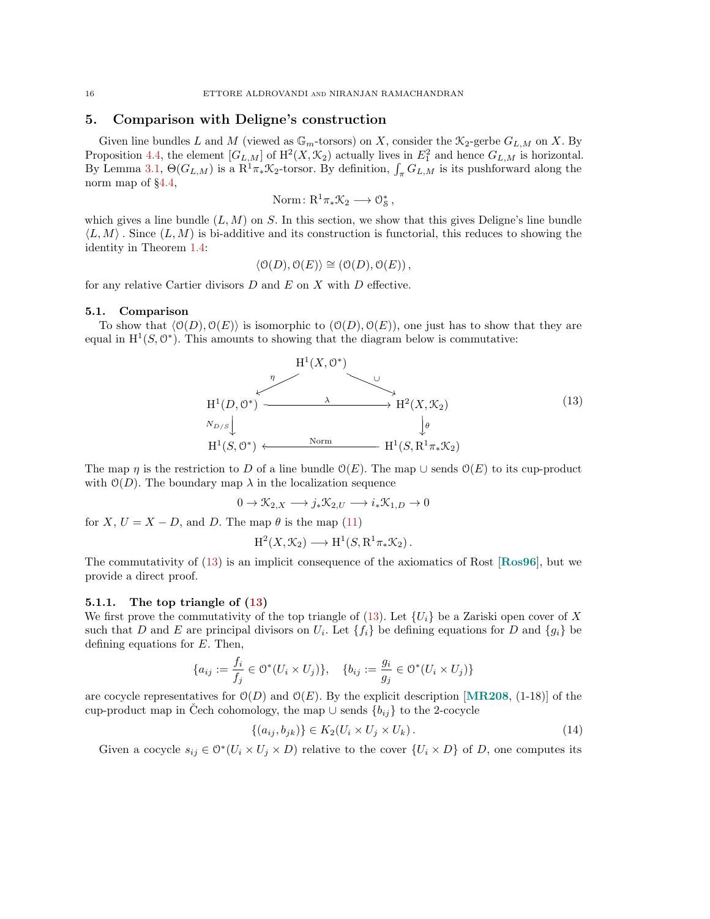## <span id="page-15-0"></span>5. Comparison with Deligne's construction

Given line bundles L and M (viewed as  $\mathbb{G}_m$ -torsors) on X, consider the  $\mathcal{K}_2$ -gerbe  $G_{L,M}$  on X. By Proposition [4.4,](#page-12-0) the element  $[G_{L,M}]$  of  $\mathrm{H}^2(X,\mathcal{K}_2)$  actually lives in  $E_1^2$  and hence  $G_{L,M}$  is horizontal. By Lemma [3.1,](#page-5-0)  $\Theta(G_{L,M})$  is a  $R^1\pi_*\mathcal{K}_2$ -torsor. By definition,  $\int_{\pi} G_{L,M}$  is its pushforward along the norm map of §[4.4,](#page-14-1)

Norm: 
$$
R^1 \pi_* \mathcal{K}_2 \longrightarrow \mathcal{O}_\mathcal{S}^*
$$
,

which gives a line bundle  $(L, M)$  on S. In this section, we show that this gives Deligne's line bundle  $\langle L, M \rangle$ . Since  $(L, M)$  is bi-additive and its construction is functorial, this reduces to showing the identity in Theorem [1.4:](#page-1-3)

$$
\langle \mathcal{O}(D), \mathcal{O}(E) \rangle \cong (\mathcal{O}(D), \mathcal{O}(E)),
$$

for any relative Cartier divisors  $D$  and  $E$  on  $X$  with  $D$  effective.

#### 5.1. Comparison

To show that  $\langle O(D), O(E) \rangle$  is isomorphic to  $(O(D), O(E))$ , one just has to show that they are equal in  $H^1(S, \mathbb{O}^*)$ . This amounts to showing that the diagram below is commutative:

<span id="page-15-1"></span>

The map  $\eta$  is the restriction to D of a line bundle  $\mathcal{O}(E)$ . The map  $\cup$  sends  $\mathcal{O}(E)$  to its cup-product with  $\mathcal{O}(D)$ . The boundary map  $\lambda$  in the localization sequence

$$
0 \to \mathcal{K}_{2,X} \longrightarrow j_*\mathcal{K}_{2,U} \longrightarrow i_*\mathcal{K}_{1,D} \to 0
$$

for X,  $U = X - D$ , and D. The map  $\theta$  is the map [\(11\)](#page-12-2)

$$
H^2(X, \mathcal{K}_2) \longrightarrow H^1(S, R^1 \pi_* \mathcal{K}_2).
$$

The commutativity of [\(13\)](#page-15-1) is an implicit consequence of the axiomatics of Rost [[Ros96](#page-27-9)], but we provide a direct proof.

#### 5.1.1. The top triangle of [\(13\)](#page-15-1)

We first prove the commutativity of the top triangle of [\(13\)](#page-15-1). Let  $\{U_i\}$  be a Zariski open cover of X such that D and E are principal divisors on  $U_i$ . Let  $\{f_i\}$  be defining equations for D and  $\{g_i\}$  be defining equations for E. Then,

$$
\{a_{ij}:=\frac{f_i}{f_j}\in\mathcal{O}^*(U_i\times U_j)\},\quad \{b_{ij}:=\frac{g_i}{g_j}\in\mathcal{O}^*(U_i\times U_j)\}
$$

are cocycle representatives for  $\mathcal{O}(D)$  and  $\mathcal{O}(E)$ . By the explicit description [[MR208](#page-27-6), (1-18)] of the cup-product map in Cech cohomology, the map  $\cup$  sends  $\{b_{ij}\}\$ to the 2-cocycle

<span id="page-15-2"></span>
$$
\{(a_{ij}, b_{jk})\} \in K_2(U_i \times U_j \times U_k). \tag{14}
$$

Given a cocycle  $s_{ij} \in \mathcal{O}^*(U_i \times U_j \times D)$  relative to the cover  $\{U_i \times D\}$  of D, one computes its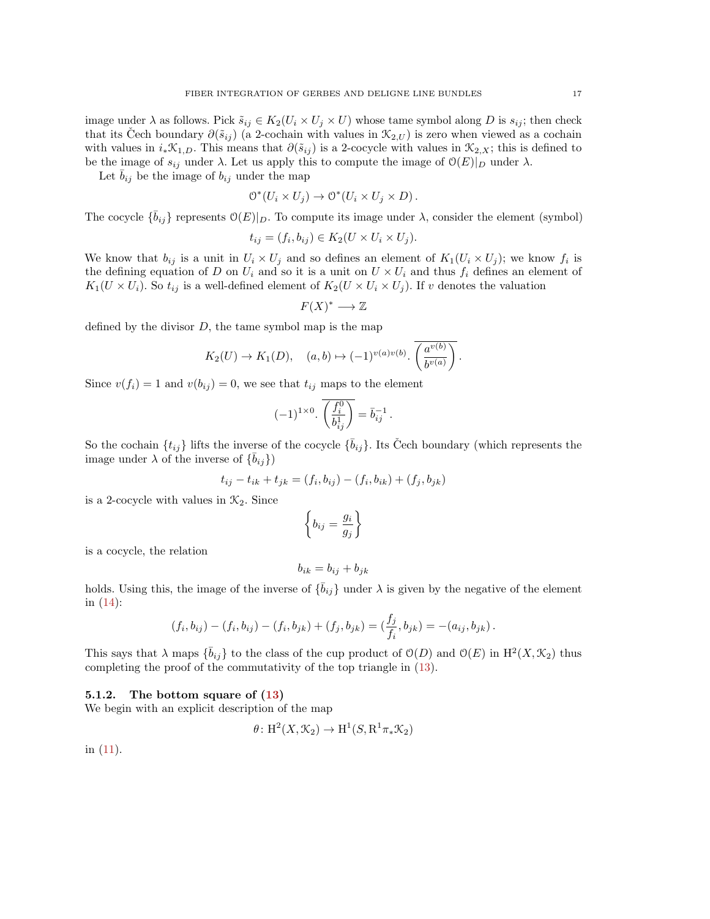image under  $\lambda$  as follows. Pick  $\tilde{s}_{ij} \in K_2(U_i \times U_j \times U)$  whose tame symbol along D is  $s_{ij}$ ; then check that its Cech boundary  $\partial(\tilde{s}_{ij})$  (a 2-cochain with values in  $\mathcal{K}_{2,U}$ ) is zero when viewed as a cochain with values in  $i_*\mathcal{K}_{1,D}$ . This means that  $\partial(\tilde{s}_{ij})$  is a 2-cocycle with values in  $\mathcal{K}_{2,X}$ ; this is defined to be the image of  $s_{ij}$  under  $\lambda$ . Let us apply this to compute the image of  $\mathcal{O}(E)|_D$  under  $\lambda$ .

Let  $\bar{b}_{ij}$  be the image of  $b_{ij}$  under the map

$$
O^*(U_i \times U_j) \to O^*(U_i \times U_j \times D).
$$

The cocycle  $\{\bar{b}_{ij}\}$  represents  $\mathcal{O}(E)|_D$ . To compute its image under  $\lambda$ , consider the element (symbol)

$$
t_{ij} = (f_i, b_{ij}) \in K_2(U \times U_i \times U_j).
$$

We know that  $b_{ij}$  is a unit in  $U_i \times U_j$  and so defines an element of  $K_1(U_i \times U_j)$ ; we know  $f_i$  is the defining equation of D on  $U_i$  and so it is a unit on  $U \times U_i$  and thus  $f_i$  defines an element of  $K_1(U \times U_i)$ . So  $t_{ij}$  is a well-defined element of  $K_2(U \times U_i \times U_j)$ . If v denotes the valuation

$$
F(X)^* \longrightarrow \mathbb{Z}
$$

defined by the divisor  $D$ , the tame symbol map is the map

$$
K_2(U) \to K_1(D)
$$
,  $(a, b) \mapsto (-1)^{v(a)v(b)}$ .  $\left(\frac{a^{v(b)}}{b^{v(a)}}\right)$ .

Since  $v(f_i) = 1$  and  $v(b_{ij}) = 0$ , we see that  $t_{ij}$  maps to the element

$$
(-1)^{1 \times 0} \cdot \overline{\left(\frac{f_i^0}{b_{ij}^1}\right)} = \overline{b}_{ij}^{-1} .
$$

So the cochain  $\{t_{ij}\}$  lifts the inverse of the cocycle  $\{\bar{b}_{ij}\}$ . Its Čech boundary (which represents the image under  $\lambda$  of the inverse of  $\{\bar{b}_{ij}\}\$ 

$$
t_{ij} - t_{ik} + t_{jk} = (f_i, b_{ij}) - (f_i, b_{ik}) + (f_j, b_{jk})
$$

is a 2-cocycle with values in  $\mathcal{K}_2$ . Since

$$
\left\{b_{ij} = \frac{g_i}{g_j}\right\}
$$

is a cocycle, the relation

$$
b_{ik} = b_{ij} + b_{jk}
$$

holds. Using this, the image of the inverse of  $\{\bar{b}_{ij}\}\$  under  $\lambda$  is given by the negative of the element in [\(14\)](#page-15-2):

$$
(f_i, b_{ij}) - (f_i, b_{ij}) - (f_i, b_{jk}) + (f_j, b_{jk}) = (\frac{f_j}{f_i}, b_{jk}) = -(a_{ij}, b_{jk}).
$$

This says that  $\lambda$  maps  $\{\bar{b}_{ij}\}$  to the class of the cup product of  $\mathcal{O}(D)$  and  $\mathcal{O}(E)$  in  $\mathrm{H}^2(X,\mathcal{K}_2)$  thus completing the proof of the commutativity of the top triangle in [\(13\)](#page-15-1).

### 5.1.2. The bottom square of [\(13\)](#page-15-1)

We begin with an explicit description of the map

$$
\theta \colon \mathrm{H}^2(X, \mathcal{K}_2) \to \mathrm{H}^1(S, \mathrm{R}^1 \pi_* \mathcal{K}_2)
$$

in [\(11\)](#page-12-2).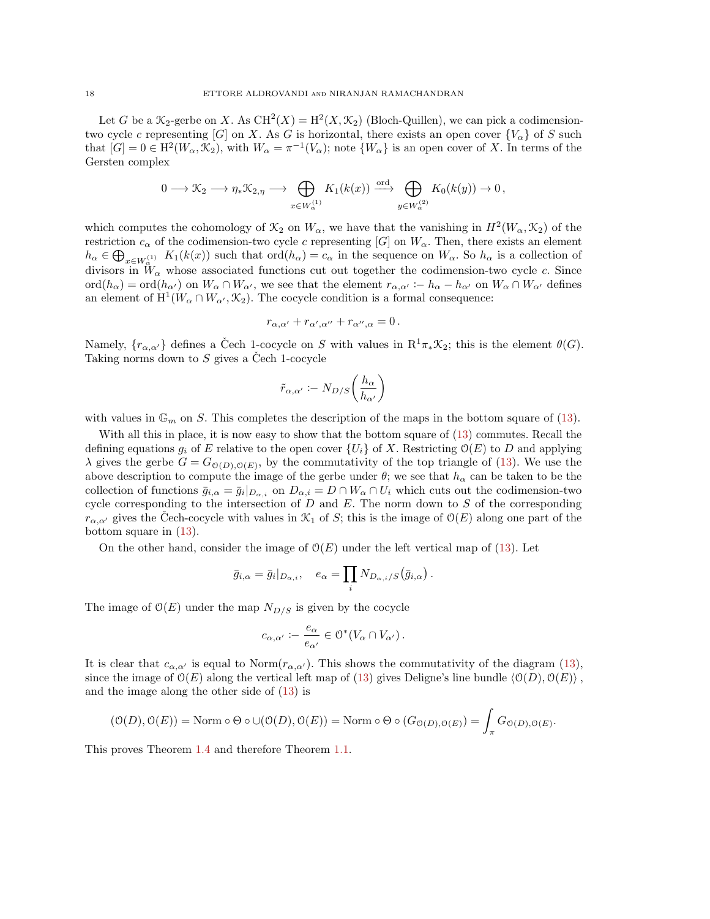Let G be a  $\mathcal{K}_2$ -gerbe on X. As  $CH^2(X) = H^2(X, \mathcal{K}_2)$  (Bloch-Quillen), we can pick a codimensiontwo cycle c representing [G] on X. As G is horizontal, there exists an open cover  ${V_\alpha}$  of S such that  $[G] = 0 \in H^2(W_\alpha, \mathcal{K}_2)$ , with  $W_\alpha = \pi^{-1}(V_\alpha)$ ; note  $\{W_\alpha\}$  is an open cover of X. In terms of the Gersten complex

$$
0 \longrightarrow \mathcal{K}_2 \longrightarrow \eta_* \mathcal{K}_{2,\eta} \longrightarrow \bigoplus_{x \in W_{\alpha}^{(1)}} K_1(k(x)) \stackrel{\text{ord}}{\longrightarrow} \bigoplus_{y \in W_{\alpha}^{(2)}} K_0(k(y)) \to 0,
$$

which computes the cohomology of  $\mathcal{K}_2$  on  $W_\alpha$ , we have that the vanishing in  $H^2(W_\alpha, \mathcal{K}_2)$  of the restriction  $c_{\alpha}$  of the codimension-two cycle c representing [G] on  $W_{\alpha}$ . Then, there exists an element  $h_{\alpha} \in \bigoplus_{x \in W_{\alpha}^{(1)}} K_1(k(x))$  such that  $\text{ord}(h_{\alpha}) = c_{\alpha}$  in the sequence on  $W_{\alpha}$ . So  $h_{\alpha}$  is a collection of divisors in  $\tilde{W}_{\alpha}$  whose associated functions cut out together the codimension-two cycle c. Since  $\text{ord}(h_{\alpha}) = \text{ord}(h_{\alpha'})$  on  $W_{\alpha} \cap W_{\alpha'}$ , we see that the element  $r_{\alpha,\alpha'} := h_{\alpha} - h_{\alpha'}$  on  $W_{\alpha} \cap W_{\alpha'}$  defines an element of  $H^1(W_\alpha \cap W_{\alpha'}, \mathcal{K}_2)$ . The cocycle condition is a formal consequence:

$$
r_{\alpha,\alpha'} + r_{\alpha',\alpha''} + r_{\alpha'',\alpha} = 0.
$$

Namely,  ${r_{\alpha,\alpha'}}$  defines a Čech 1-cocycle on S with values in  $R^1\pi_*\mathcal{K}_2$ ; this is the element  $\theta(G)$ . Taking norms down to  $S$  gives a Cech 1-cocycle

$$
\tilde{r}_{\alpha,\alpha'} \coloneq N_{D/S}\bigg(\frac{h_\alpha}{h_{\alpha'}}\bigg)
$$

with values in  $\mathbb{G}_m$  on S. This completes the description of the maps in the bottom square of [\(13\)](#page-15-1).

With all this in place, it is now easy to show that the bottom square of [\(13\)](#page-15-1) commutes. Recall the defining equations  $g_i$  of E relative to the open cover  $\{U_i\}$  of X. Restricting  $\mathcal{O}(E)$  to D and applying  $\lambda$  gives the gerbe  $G = G_{\mathcal{O}(D), \mathcal{O}(E)}$ , by the commutativity of the top triangle of [\(13\)](#page-15-1). We use the above description to compute the image of the gerbe under  $\theta$ ; we see that  $h_{\alpha}$  can be taken to be the collection of functions  $\bar{g}_{i,\alpha} = \bar{g}_i|_{D_{\alpha,i}}$  on  $D_{\alpha,i} = D \cap W_\alpha \cap U_i$  which cuts out the codimension-two cycle corresponding to the intersection of  $D$  and  $E$ . The norm down to  $S$  of the corresponding  $r_{\alpha,\alpha'}$  gives the Cech-cocycle with values in  $\mathcal{K}_1$  of S; this is the image of  $\mathcal{O}(E)$  along one part of the bottom square in [\(13\)](#page-15-1).

On the other hand, consider the image of  $\mathcal{O}(E)$  under the left vertical map of [\(13\)](#page-15-1). Let

$$
\bar{g}_{i,\alpha} = \bar{g}_i|_{D_{\alpha,i}}, \quad e_{\alpha} = \prod_i N_{D_{\alpha,i}/S}(\bar{g}_{i,\alpha}).
$$

The image of  $\mathcal{O}(E)$  under the map  $N_{D/S}$  is given by the cocycle

$$
c_{\alpha,\alpha'} := \frac{e_{\alpha}}{e_{\alpha'}} \in \mathcal{O}^*(V_\alpha \cap V_{\alpha'}).
$$

It is clear that  $c_{\alpha,\alpha'}$  is equal to Norm $(r_{\alpha,\alpha'})$ . This shows the commutativity of the diagram [\(13\)](#page-15-1), since the image of  $\mathcal{O}(E)$  along the vertical left map of [\(13\)](#page-15-1) gives Deligne's line bundle  $\langle \mathcal{O}(D), \mathcal{O}(E) \rangle$ , and the image along the other side of [\(13\)](#page-15-1) is

$$
(\mathcal{O}(D), \mathcal{O}(E)) = \text{Norm} \circ \Theta \circ \cup (\mathcal{O}(D), \mathcal{O}(E)) = \text{Norm} \circ \Theta \circ (G_{\mathcal{O}(D), \mathcal{O}(E)}) = \int_{\pi} G_{\mathcal{O}(D), \mathcal{O}(E)}.
$$

This proves Theorem [1.4](#page-1-3) and therefore Theorem [1.1.](#page-1-0)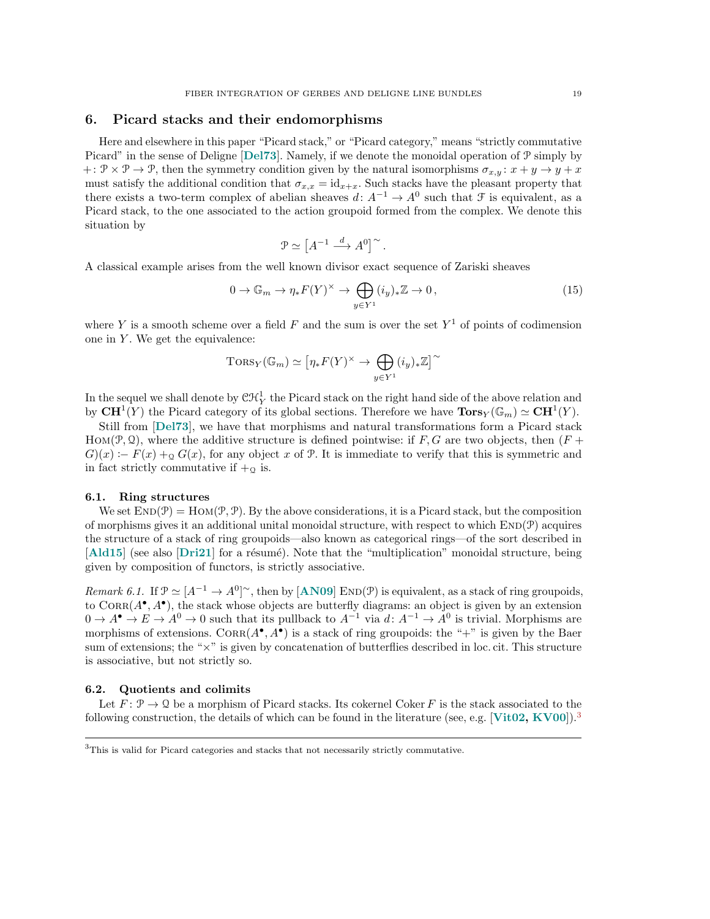## <span id="page-18-0"></span>6. Picard stacks and their endomorphisms

Here and elsewhere in this paper "Picard stack," or "Picard category," means "strictly commutative Picard" in the sense of Deligne [[Del73](#page-25-12)]. Namely, if we denote the monoidal operation of  $\mathcal{P}$  simply by +:  $\mathcal{P} \times \mathcal{P} \rightarrow \mathcal{P}$ , then the symmetry condition given by the natural isomorphisms  $\sigma_{x,y}$ :  $x + y \rightarrow y + x$ must satisfy the additional condition that  $\sigma_{x,x} = id_{x+x}$ . Such stacks have the pleasant property that there exists a two-term complex of abelian sheaves  $d: A^{-1} \to A^{0}$  such that  $\mathcal F$  is equivalent, as a Picard stack, to the one associated to the action groupoid formed from the complex. We denote this situation by

$$
\mathcal{P} \simeq \left[A^{-1} \xrightarrow{d} A^0\right]^\sim.
$$

A classical example arises from the well known divisor exact sequence of Zariski sheaves

<span id="page-18-2"></span>
$$
0 \to \mathbb{G}_m \to \eta_* F(Y)^\times \to \bigoplus_{y \in Y^1} (i_y)_* \mathbb{Z} \to 0,
$$
\n(15)

where Y is a smooth scheme over a field F and the sum is over the set  $Y^1$  of points of codimension one in  $Y$ . We get the equivalence:

$$
\mathrm{Tors}_Y(\mathbb{G}_m) \simeq \left[\eta_* F(Y)^\times \to \bigoplus_{y \in Y^1} (i_y)_* \mathbb{Z}\right]^\sim
$$

In the sequel we shall denote by  $\mathfrak{CH}^1_Y$  the Picard stack on the right hand side of the above relation and by  $\mathbf{CH}^1(Y)$  the Picard category of its global sections. Therefore we have  $\mathbf{Tors}_Y(\mathbb{G}_m) \simeq \mathbf{CH}^1(Y)$ .

Still from [[Del73](#page-25-12)], we have that morphisms and natural transformations form a Picard stack HOM( $\mathcal{P}, \mathcal{Q}$ ), where the additive structure is defined pointwise: if F, G are two objects, then (F +  $G(x) := F(x) + \alpha G(x)$ , for any object x of P. It is immediate to verify that this is symmetric and in fact strictly commutative if  $+_{\mathcal{Q}}$  is.

### <span id="page-18-3"></span>6.1. Ring structures

We set  $\text{END}(\mathcal{P}) = \text{Hom}(\mathcal{P}, \mathcal{P})$ . By the above considerations, it is a Picard stack, but the composition of morphisms gives it an additional unital monoidal structure, with respect to which  $END(\mathcal{P})$  acquires the structure of a stack of ring groupoids—also known as categorical rings—of the sort described in [[Ald15](#page-25-13)] (see also [[Dri21](#page-25-14)] for a résumé). Note that the "multiplication" monoidal structure, being given by composition of functors, is strictly associative.

Remark 6.1. If  $\mathcal{P} \simeq [A^{-1} \to A^0]^\sim$ , then by  $[AND9]$  END( $\mathcal{P}$ ) is equivalent, as a stack of ring groupoids, to  $CORR(A^{\bullet}, A^{\bullet})$ , the stack whose objects are butterfly diagrams: an object is given by an extension  $0 \to A^{\bullet} \to E \to A^0 \to 0$  such that its pullback to  $A^{-1}$  via  $d: A^{-1} \to A^0$  is trivial. Morphisms are morphisms of extensions.  $CORR(A^{\bullet}, A^{\bullet})$  is a stack of ring groupoids: the "+" is given by the Baer sum of extensions; the "×" is given by concatenation of butterflies described in loc. cit. This structure is associative, but not strictly so.

## 6.2. Quotients and colimits

Let  $F: \mathcal{P} \to \mathcal{Q}$  be a morphism of Picard stacks. Its cokernel Coker F is the stack associated to the following construction, the details of which can be found in the literature (see, e.g. [[Vit02,](#page-27-10) [KV00](#page-26-15)]).<sup>[3](#page-18-1)</sup>

<span id="page-18-1"></span><sup>&</sup>lt;sup>3</sup>This is valid for Picard categories and stacks that not necessarily strictly commutative.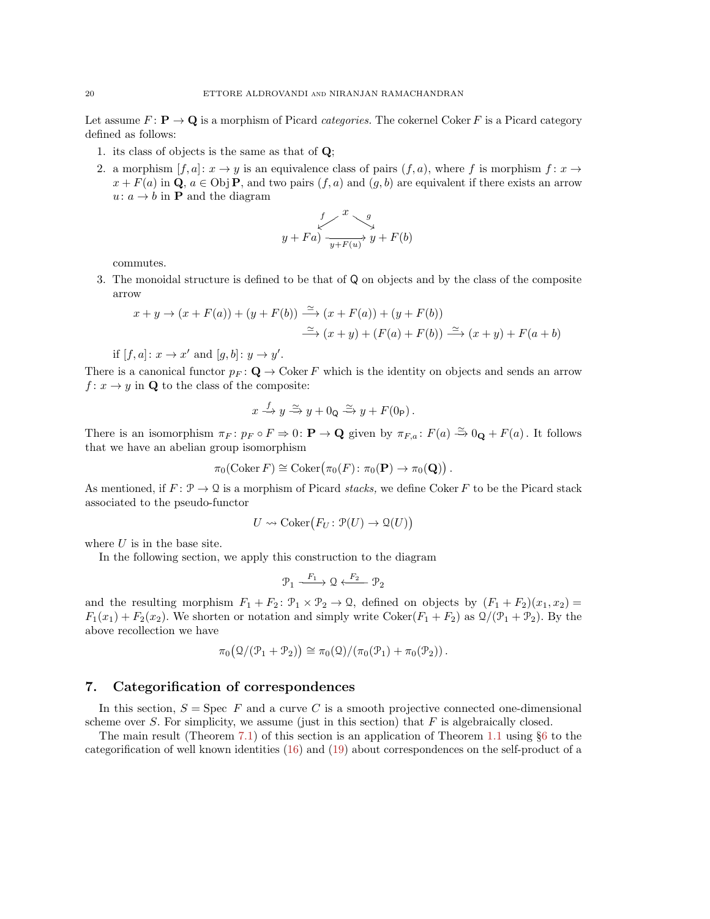Let assume  $F: \mathbf{P} \to \mathbf{Q}$  is a morphism of Picard categories. The cokernel Coker F is a Picard category defined as follows:

- 1. its class of objects is the same as that of Q;
- 2. a morphism  $[f, a]: x \to y$  is an equivalence class of pairs  $(f, a)$ , where f is morphism  $f: x \to y$  $x + F(a)$  in Q,  $a \in \text{Obj } P$ , and two pairs  $(f, a)$  and  $(g, b)$  are equivalent if there exists an arrow  $u: a \rightarrow b$  in **P** and the diagram

$$
\begin{array}{ccc}\n & f & g \\
y & +Fa & \xrightarrow{g} & y + F(b)\n\end{array}
$$

commutes.

3. The monoidal structure is defined to be that of Q on objects and by the class of the composite arrow

$$
x + y \to (x + F(a)) + (y + F(b)) \xrightarrow{\simeq} (x + F(a)) + (y + F(b))
$$
  

$$
\xrightarrow{\simeq} (x + y) + (F(a) + F(b)) \xrightarrow{\simeq} (x + y) + F(a + b)
$$

if  $[f, a] : x \to x'$  and  $[g, b] : y \to y'$ .

There is a canonical functor  $p_F : \mathbf{Q} \to \mathbf{Coker} F$  which is the identity on objects and sends an arrow  $f: x \to y$  in Q to the class of the composite:

$$
x \xrightarrow{f} y \xrightarrow{\simeq} y + 0_Q \xrightarrow{\simeq} y + F(0_P).
$$

There is an isomorphism  $\pi_F \colon p_F \circ F \Rightarrow 0 \colon \mathbf{P} \to \mathbf{Q}$  given by  $\pi_{F,a} \colon F(a) \xrightarrow{\simeq} 0_\mathbf{Q} + F(a)$ . It follows that we have an abelian group isomorphism

$$
\pi_0(\mathrm{Coker}\, F) \cong \mathrm{Coker}\big(\pi_0(F) \colon \pi_0(\mathbf{P}) \to \pi_0(\mathbf{Q})\big) .
$$

As mentioned, if  $F: \mathcal{P} \to \mathcal{Q}$  is a morphism of Picard stacks, we define Coker F to be the Picard stack associated to the pseudo-functor

$$
U \rightsquigarrow \text{Coker}\big(F_U \colon \mathcal{P}(U) \to \mathcal{Q}(U)\big)
$$

where  $U$  is in the base site.

In the following section, we apply this construction to the diagram

$$
\mathcal{P}_1 \xrightarrow{F_1} \mathcal{Q} \xleftarrow{F_2} \mathcal{P}_2
$$

and the resulting morphism  $F_1 + F_2$ :  $\mathcal{P}_1 \times \mathcal{P}_2 \to \mathcal{Q}$ , defined on objects by  $(F_1 + F_2)(x_1, x_2) =$  $F_1(x_1) + F_2(x_2)$ . We shorten or notation and simply write Coker( $F_1 + F_2$ ) as  $\mathcal{Q}/(\mathcal{P}_1 + \mathcal{P}_2)$ . By the above recollection we have

$$
\pi_0\big(\mathcal{Q}/(\mathcal{P}_1+\mathcal{P}_2)\big)\cong\pi_0(\mathcal{Q})/\big(\pi_0(\mathcal{P}_1)+\pi_0(\mathcal{P}_2)\big)\,.
$$

## <span id="page-19-0"></span>7. Categorification of correspondences

In this section,  $S =$  Spec F and a curve C is a smooth projective connected one-dimensional scheme over S. For simplicity, we assume (just in this section) that  $F$  is algebraically closed.

The main result (Theorem [7.1\)](#page-21-0) of this section is an application of Theorem [1.1](#page-1-0) using §[6](#page-18-0) to the categorification of well known identities [\(16\)](#page-20-0) and [\(19\)](#page-21-1) about correspondences on the self-product of a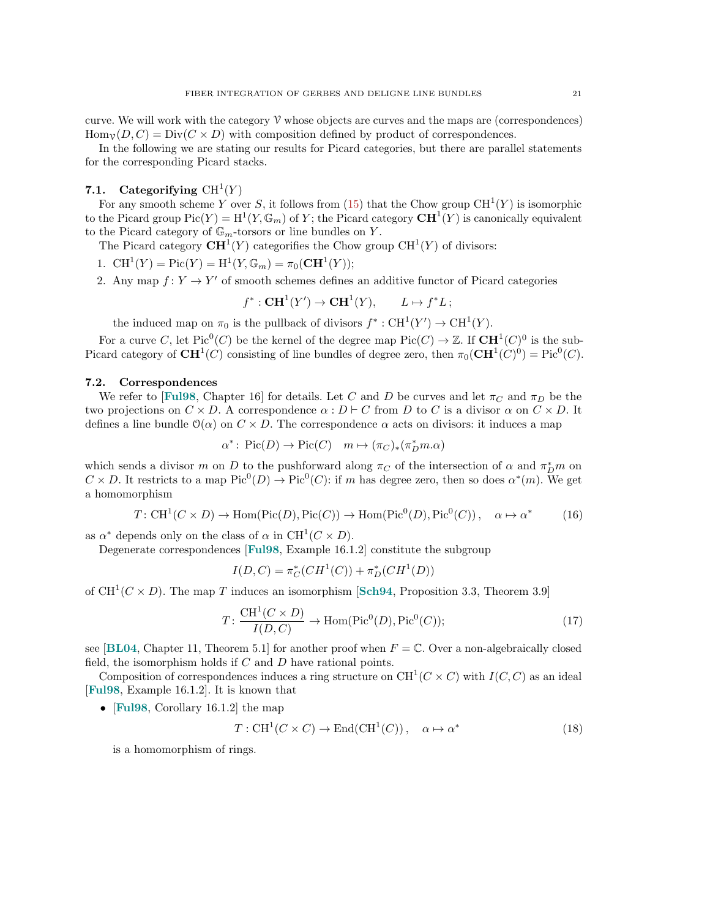In the following we are stating our results for Picard categories, but there are parallel statements for the corresponding Picard stacks.

## 7.1. Categorifying  $\mathrm{CH}^1(Y)$

For any smooth scheme Y over S, it follows from [\(15\)](#page-18-2) that the Chow group  $CH^1(Y)$  is isomorphic to the Picard group  $Pic(Y) = H^1(Y, \mathbb{G}_m)$  of Y; the Picard category  $\mathbf{C}\mathbf{H}^1(Y)$  is canonically equivalent to the Picard category of  $\mathbb{G}_m$ -torsors or line bundles on Y.

The Picard category  $\mathbf{CH}^1(Y)$  categorifies the Chow group  $\mathrm{CH}^1(Y)$  of divisors:

1.  $\text{CH}^1(Y) = \text{Pic}(Y) = \text{H}^1(Y, \mathbb{G}_m) = \pi_0(\text{CH}^1(Y));$ 

2. Any map  $f: Y \to Y'$  of smooth schemes defines an additive functor of Picard categories

$$
f^*: \mathbf{C}\mathbf{H}^1(Y') \to \mathbf{C}\mathbf{H}^1(Y), \qquad L \mapsto f^*L;
$$

the induced map on  $\pi_0$  is the pullback of divisors  $f^* : \text{CH}^1(Y') \to \text{CH}^1(Y)$ .

For a curve C, let Pic<sup>0</sup>(C) be the kernel of the degree map  $Pic(C) \to \mathbb{Z}$ . If  $CH^1(C)^0$  is the sub-Picard category of  $\mathbf{CH}^1(C)$  consisting of line bundles of degree zero, then  $\pi_0(\mathbf{CH}^1(C)^0) = \text{Pic}^0(C)$ .

### 7.2. Correspondences

We refer to [[Ful98](#page-26-1), Chapter 16] for details. Let C and D be curves and let  $\pi_C$  and  $\pi_D$  be the two projections on  $C \times D$ . A correspondence  $\alpha : D \vdash C$  from D to C is a divisor  $\alpha$  on  $C \times D$ . It defines a line bundle  $\mathcal{O}(\alpha)$  on  $C \times D$ . The correspondence  $\alpha$  acts on divisors: it induces a map

$$
\alpha^* \colon \operatorname{Pic}(D) \to \operatorname{Pic}(C) \quad m \mapsto (\pi_C)_*(\pi_D^* m. \alpha)
$$

which sends a divisor m on D to the pushforward along  $\pi_C$  of the intersection of  $\alpha$  and  $\pi_D^* m$  on  $C \times D$ . It restricts to a map  $Pic^0(D) \to Pic^0(C)$ : if m has degree zero, then so does  $\alpha^*(m)$ . We get a homomorphism

<span id="page-20-0"></span>
$$
T: \mathrm{CH}^1(C \times D) \to \mathrm{Hom}(\mathrm{Pic}(D), \mathrm{Pic}(C)) \to \mathrm{Hom}(\mathrm{Pic}^0(D), \mathrm{Pic}^0(C)), \quad \alpha \mapsto \alpha^* \tag{16}
$$

as  $\alpha^*$  depends only on the class of  $\alpha$  in CH<sup>1</sup>( $C \times D$ ).

Degenerate correspondences [[Ful98](#page-26-1), Example 16.1.2] constitute the subgroup

$$
I(D, C) = \pi_C^*(CH^1(C)) + \pi_D^*(CH^1(D))
$$

of  $CH^1(C \times D)$ . The map T induces an isomorphism [[Sch94](#page-27-11), Proposition 3.3, Theorem 3.9]

<span id="page-20-1"></span>
$$
T: \frac{\mathrm{CH}^1(C \times D)}{I(D, C)} \to \mathrm{Hom}(\mathrm{Pic}^0(D), \mathrm{Pic}^0(C)); \tag{17}
$$

see [[BL04](#page-25-16), Chapter 11, Theorem 5.1] for another proof when  $F = \mathbb{C}$ . Over a non-algebraically closed field, the isomorphism holds if  $C$  and  $D$  have rational points.

Composition of correspondences induces a ring structure on  $\mathrm{CH}^1(C\times C)$  with  $I(C, C)$  as an ideal [[Ful98](#page-26-1), Example 16.1.2]. It is known that

• **[Ful98](#page-26-1)**, Corollary 16.1.2 the map

<span id="page-20-2"></span>
$$
T: \text{CH}^1(C \times C) \to \text{End}(\text{CH}^1(C)), \quad \alpha \mapsto \alpha^*
$$
 (18)

is a homomorphism of rings.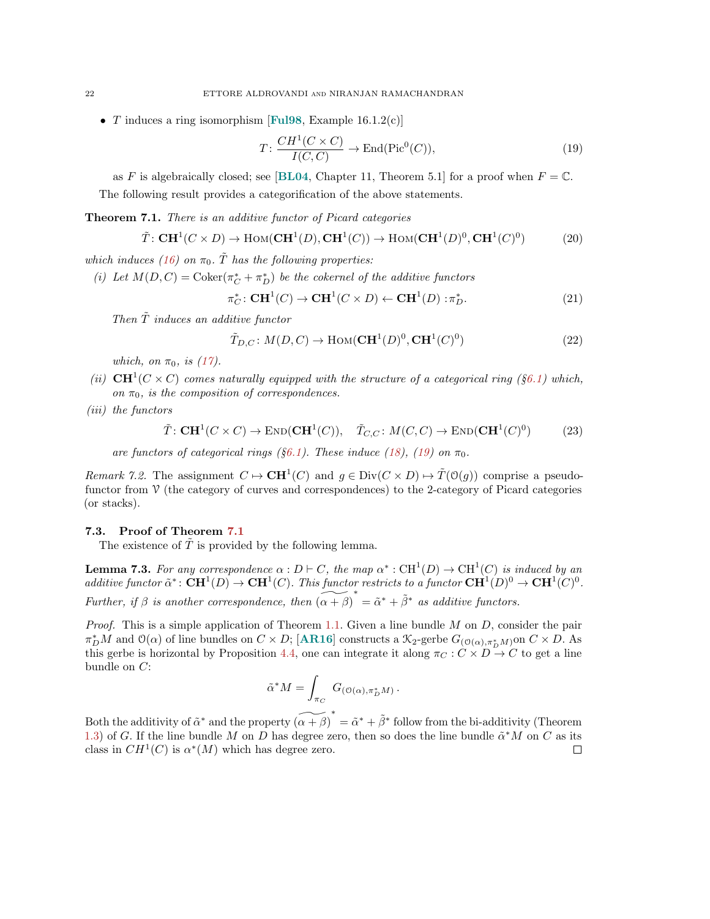• T induces a ring isomorphism [[Ful98](#page-26-1), Example 16.1.2(c)]

<span id="page-21-1"></span>
$$
T: \frac{CH^1(C \times C)}{I(C, C)} \to \text{End}(\text{Pic}^0(C)),\tag{19}
$$

as F is algebraically closed; see [[BL04](#page-25-16), Chapter 11, Theorem 5.1] for a proof when  $F = \mathbb{C}$ . The following result provides a categorification of the above statements.

<span id="page-21-0"></span>**Theorem 7.1.** There is an additive functor of Picard categories

$$
\tilde{T}: \mathbf{C}\mathbf{H}^1(C \times D) \to \mathrm{Hom}(\mathbf{C}\mathbf{H}^1(D), \mathbf{C}\mathbf{H}^1(C)) \to \mathrm{Hom}(\mathbf{C}\mathbf{H}^1(D)^0, \mathbf{C}\mathbf{H}^1(C)^0)
$$
(20)

which induces [\(16\)](#page-20-0) on  $\pi_0$ . T has the following properties:

(i) Let  $M(D, C) = \text{Coker}(\pi_C^* + \pi_D^*)$  be the cokernel of the additive functors

$$
\pi_C^* \colon \mathbf{CH}^1(C) \to \mathbf{CH}^1(C \times D) \leftarrow \mathbf{CH}^1(D) : \pi_D^*.
$$
 (21)

Then  $\tilde{T}$  induces an additive functor

$$
\tilde{T}_{D,C}: M(D,C) \to \text{Hom}(\mathbf{C}\mathbf{H}^1(D)^0, \mathbf{C}\mathbf{H}^1(C)^0)
$$
\n(22)

which, on  $\pi_0$ , is [\(17\)](#page-20-1).

(ii)  $CH^1(C \times C)$  comes naturally equipped with the structure of a categorical ring (§[6.1\)](#page-18-3) which, on  $\pi_0$ , is the composition of correspondences.

(iii) the functors

$$
\tilde{T}: \mathbf{C}\mathbf{H}^1(C \times C) \to \mathrm{END}(\mathbf{C}\mathbf{H}^1(C)), \quad \tilde{T}_{C,C}: M(C,C) \to \mathrm{END}(\mathbf{C}\mathbf{H}^1(C)^0) \tag{23}
$$

are functors of categorical rings (§[6.1\)](#page-18-3). These induce [\(18\)](#page-20-2), [\(19\)](#page-21-1) on  $\pi_0$ .

*Remark 7.2.* The assignment  $C \mapsto \mathbf{CH}^1(C)$  and  $g \in Div(C \times D) \mapsto \widetilde{T}(\mathcal{O}(g))$  comprise a pseudofunctor from  $\mathcal V$  (the category of curves and correspondences) to the 2-category of Picard categories (or stacks).

#### 7.3. Proof of Theorem [7.1](#page-21-0)

The existence of  $\tilde{T}$  is provided by the following lemma.

**Lemma 7.3.** For any correspondence  $\alpha : D \vdash C$ , the map  $\alpha^* : \text{CH}^1(D) \to \text{CH}^1(C)$  is induced by an additive functor  $\tilde{\alpha}^* \colon \mathbf{C}\mathbf{H}^1(D) \to \mathbf{C}\mathbf{H}^1(C)$ . This functor restricts to a functor  $\mathbf{C}\mathbf{H}^1(D)^0 \to \mathbf{C}\mathbf{H}^1(C)^0$ . Further, if  $\beta$  is another correspondence, then  $(\alpha + \beta)^* = \tilde{\alpha}^* + \tilde{\beta}^*$  as additive functors.

*Proof.* This is a simple application of Theorem [1.1.](#page-1-0) Given a line bundle  $M$  on  $D$ , consider the pair  $\pi_D^*M$  and  $\mathcal{O}(\alpha)$  of line bundles on  $C \times D$ ; [[AR16](#page-25-0)] constructs a  $\mathcal{K}_2$ -gerbe  $G_{(\mathcal{O}(\alpha), \pi_D^*M)}$  on  $C \times D$ . As this gerbe is horizontal by Proposition [4.4,](#page-12-0) one can integrate it along  $\pi_C : C \times D \to C$  to get a line bundle on C:

$$
\tilde{\alpha}^* M = \int_{\pi_C} G_{(\mathcal{O}(\alpha), \pi_D^* M)}.
$$

Both the additivity of  $\tilde{\alpha}^*$  and the property  $\widetilde{(\alpha + \beta)}^* = \tilde{\alpha}^* + \tilde{\beta}^*$  follow from the bi-additivity (Theorem [1.3\)](#page-1-2) of G. If the line bundle M on D has degree zero, then so does the line bundle  $\tilde{\alpha}^* M$  on C as its class in  $CH^1(C)$  is  $\alpha^*(M)$  which has degree zero.  $\Box$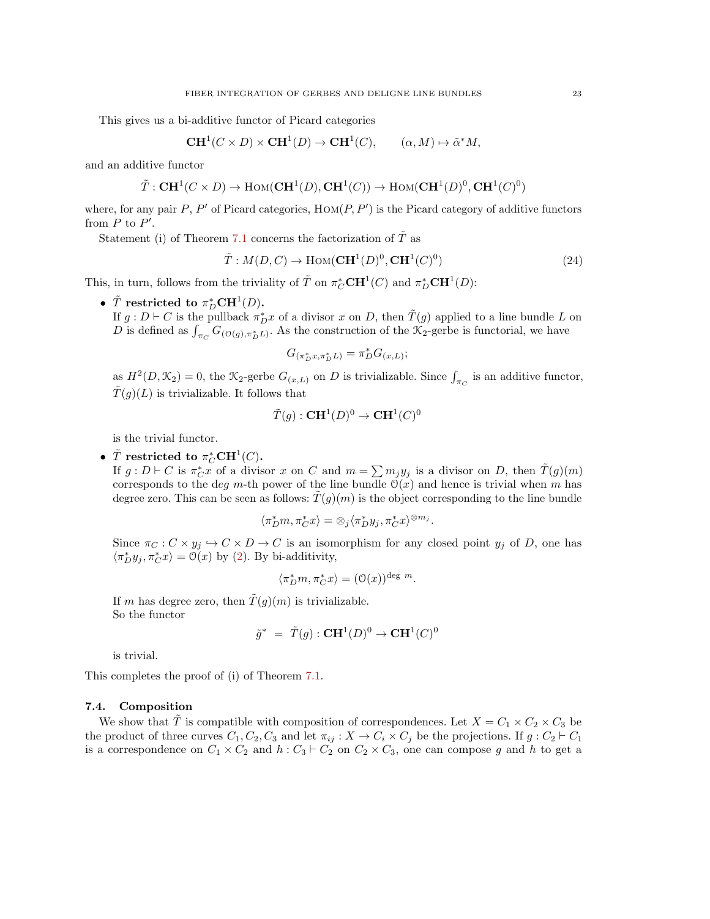This gives us a bi-additive functor of Picard categories

$$
\mathbf{CH}^1(C \times D) \times \mathbf{CH}^1(D) \to \mathbf{CH}^1(C), \qquad (\alpha, M) \mapsto \tilde{\alpha}^* M,
$$

and an additive functor

$$
\tilde{T}: \mathbf{C}\mathbf{H}^1(C \times D) \to \mathrm{Hom}(\mathbf{C}\mathbf{H}^1(D), \mathbf{C}\mathbf{H}^1(C)) \to \mathrm{Hom}(\mathbf{C}\mathbf{H}^1(D)^0, \mathbf{C}\mathbf{H}^1(C)^0)
$$

where, for any pair  $P$ ,  $P'$  of Picard categories,  $\text{Hom}(P, P')$  is the Picard category of additive functors from  $P$  to  $P'$ .

Statement (i) of Theorem [7.1](#page-21-0) concerns the factorization of  $\tilde{T}$  as

$$
\tilde{T}: M(D, C) \to \text{Hom}(\mathbf{C}\mathbf{H}^1(D)^0, \mathbf{C}\mathbf{H}^1(C)^0)
$$
\n(24)

This, in turn, follows from the triviality of  $\tilde{T}$  on  $\pi_C^* \mathbf{C} \mathbf{H}^1(C)$  and  $\pi_D^* \mathbf{C} \mathbf{H}^1(D)$ :

•  $\tilde{T}$  restricted to  $\pi_D^*\mathbf{CH}^1(D)$ .

If  $g: D \vdash C$  is the pullback  $\pi_D^* x$  of a divisor x on D, then  $\tilde{T}(g)$  applied to a line bundle L on D is defined as  $\int_{\pi_C} G_{(\mathcal{O}(g), \pi_D^* L)}$ . As the construction of the  $\mathcal{K}_2$ -gerbe is functorial, we have

$$
G_{(\pi_D^* x, \pi_D^* L)} = \pi_D^* G_{(x,L)};
$$

as  $H^2(D, \mathcal{K}_2) = 0$ , the  $\mathcal{K}_2$ -gerbe  $G_{(x,L)}$  on D is trivializable. Since  $\int_{\pi_C}$  is an additive functor,  $\tilde{T}(g)(L)$  is trivializable. It follows that

$$
\tilde{T}(g) : \mathbf{C}\mathbf{H}^1(D)^0 \to \mathbf{C}\mathbf{H}^1(C)^0
$$

is the trivial functor.

# •  $\tilde{T}$  restricted to  $\pi_C^* \mathbf{C}\mathbf{H}^1(C)$ .

If  $g: D \vdash C$  is  $\pi_C^* x$  of a divisor x on C and  $m = \sum m_j y_j$  is a divisor on D, then  $\tilde{T}(g)(m)$ corresponds to the deg m-th power of the line bundle  $\mathcal{O}(x)$  and hence is trivial when m has degree zero. This can be seen as follows:  $T(g)(m)$  is the object corresponding to the line bundle

$$
\langle \pi_D^*m, \pi_C^*x\rangle = \otimes_j \langle \pi_D^*y_j, \pi_C^*x\rangle^{\otimes m_j}.
$$

Since  $\pi_C : C \times y_j \hookrightarrow C \times D \to C$  is an isomorphism for any closed point  $y_j$  of D, one has  $\langle \pi_D^* y_j, \pi_C^* x \rangle = \mathcal{O}(x)$  by [\(2\)](#page-3-1). By bi-additivity,

$$
\langle \pi_D^* m, \pi_C^* x \rangle = (\mathfrak{O}(x))^{\text{deg } m}.
$$

If m has degree zero, then  $\tilde{T}(g)(m)$  is trivializable. So the functor

$$
\tilde{g}^* = \tilde{T}(g) : \mathbf{C}\mathbf{H}^1(D)^0 \to \mathbf{C}\mathbf{H}^1(C)^0
$$

is trivial.

This completes the proof of (i) of Theorem [7.1.](#page-21-0)

## 7.4. Composition

We show that  $\tilde{T}$  is compatible with composition of correspondences. Let  $X = C_1 \times C_2 \times C_3$  be the product of three curves  $C_1, C_2, C_3$  and let  $\pi_{ij}: X \to C_i \times C_j$  be the projections. If  $g: C_2 \vdash C_1$ is a correspondence on  $C_1 \times C_2$  and  $h : C_3 \vdash C_2$  on  $C_2 \times C_3$ , one can compose g and h to get a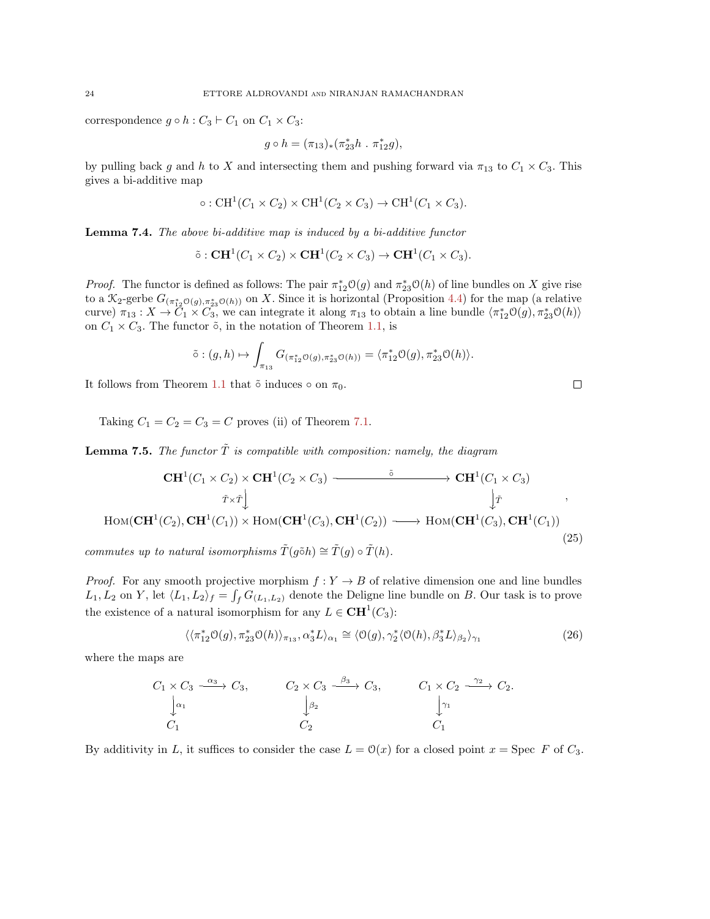correspondence  $g \circ h : C_3 \vdash C_1$  on  $C_1 \times C_3$ :

$$
g\circ h=(\pi_{13})_*(\pi_{23}^*h\ .\ \pi_{12}^*g),
$$

by pulling back g and h to X and intersecting them and pushing forward via  $\pi_{13}$  to  $C_1 \times C_3$ . This gives a bi-additive map

$$
\circ: \mathrm{CH}^1(C_1 \times C_2) \times \mathrm{CH}^1(C_2 \times C_3) \to \mathrm{CH}^1(C_1 \times C_3).
$$

Lemma 7.4. The above bi-additive map is induced by a bi-additive functor

$$
\tilde{\circ}: \mathbf{C}\mathbf{H}^1(C_1 \times C_2) \times \mathbf{C}\mathbf{H}^1(C_2 \times C_3) \to \mathbf{C}\mathbf{H}^1(C_1 \times C_3).
$$

*Proof.* The functor is defined as follows: The pair  $\pi_{12}^* \mathcal{O}(g)$  and  $\pi_{23}^* \mathcal{O}(h)$  of line bundles on X give rise to a  $\mathcal{K}_2$ -gerbe  $G_{(\pi_{12}^*\mathcal{O}(g),\pi_{23}^*\mathcal{O}(h))}$  on X. Since it is horizontal (Proposition [4.4\)](#page-12-0) for the map (a relative curve)  $\pi_{13}: X \to \tilde{C}_1 \times \tilde{C}_3$ , we can integrate it along  $\pi_{13}$  to obtain a line bundle  $\langle \pi_{12}^* \mathcal{O}(g), \pi_{23}^* \mathcal{O}(h) \rangle$ on  $C_1 \times C_3$ . The functor  $\tilde{\circ}$ , in the notation of Theorem [1.1,](#page-1-0) is

$$
\tilde{\circ} : (g, h) \mapsto \int_{\pi_{13}} G_{(\pi_{12}^* \mathcal{O}(g), \pi_{23}^* \mathcal{O}(h))} = \langle \pi_{12}^* \mathcal{O}(g), \pi_{23}^* \mathcal{O}(h) \rangle.
$$

It follows from Theorem [1.1](#page-1-0) that  $\tilde{\circ}$  induces  $\circ$  on  $\pi_0$ .

Taking  $C_1 = C_2 = C_3 = C$  proves (ii) of Theorem [7.1.](#page-21-0)

<span id="page-23-1"></span>**Lemma 7.5.** The functor  $\tilde{T}$  is compatible with composition: namely, the diagram

$$
\mathbf{CH}^{1}(C_{1} \times C_{2}) \times \mathbf{CH}^{1}(C_{2} \times C_{3}) \longrightarrow \mathbf{CH}^{1}(C_{1} \times C_{3})
$$
\n
$$
\tau \times \tau \downarrow \qquad \qquad \downarrow \tau
$$
\n
$$
\text{Hom}(\mathbf{CH}^{1}(C_{2}), \mathbf{CH}^{1}(C_{1})) \times \text{Hom}(\mathbf{CH}^{1}(C_{3}), \mathbf{CH}^{1}(C_{2})) \longrightarrow \text{Hom}(\mathbf{CH}^{1}(C_{3}), \mathbf{CH}^{1}(C_{1}))
$$
\n(25)

commutes up to natural isomorphisms  $\tilde{T}(q\tilde{\circ}h) \cong \tilde{T}(q) \circ \tilde{T}(h)$ .

*Proof.* For any smooth projective morphism  $f: Y \to B$  of relative dimension one and line bundles  $L_1, L_2$  on Y, let  $\langle L_1, L_2 \rangle_f = \int_f G_{(L_1, L_2)}$  denote the Deligne line bundle on B. Our task is to prove the existence of a natural isomorphism for any  $L \in \mathbf{CH}^1(C_3)$ :

<span id="page-23-0"></span>
$$
\langle\langle \pi_{12}^* \mathcal{O}(g), \pi_{23}^* \mathcal{O}(h) \rangle_{\pi_{13}}, \alpha_3^* L \rangle_{\alpha_1} \cong \langle \mathcal{O}(g), \gamma_2^* \langle \mathcal{O}(h), \beta_3^* L \rangle_{\beta_2} \rangle_{\gamma_1}
$$
(26)

where the maps are

$$
C_1 \times C_3 \xrightarrow{\alpha_3} C_3,
$$
  $C_2 \times C_3 \xrightarrow{\beta_3} C_3,$   $C_1 \times C_2 \xrightarrow{\gamma_2} C_2.$   
\n $\downarrow \alpha_1$   $\downarrow \beta_2$   $\downarrow \gamma_1$   
\n $C_1$   $C_2$   $C_1$ 

By additivity in L, it suffices to consider the case  $L = \mathcal{O}(x)$  for a closed point  $x = \text{Spec } F$  of  $C_3$ .

$$
\Box
$$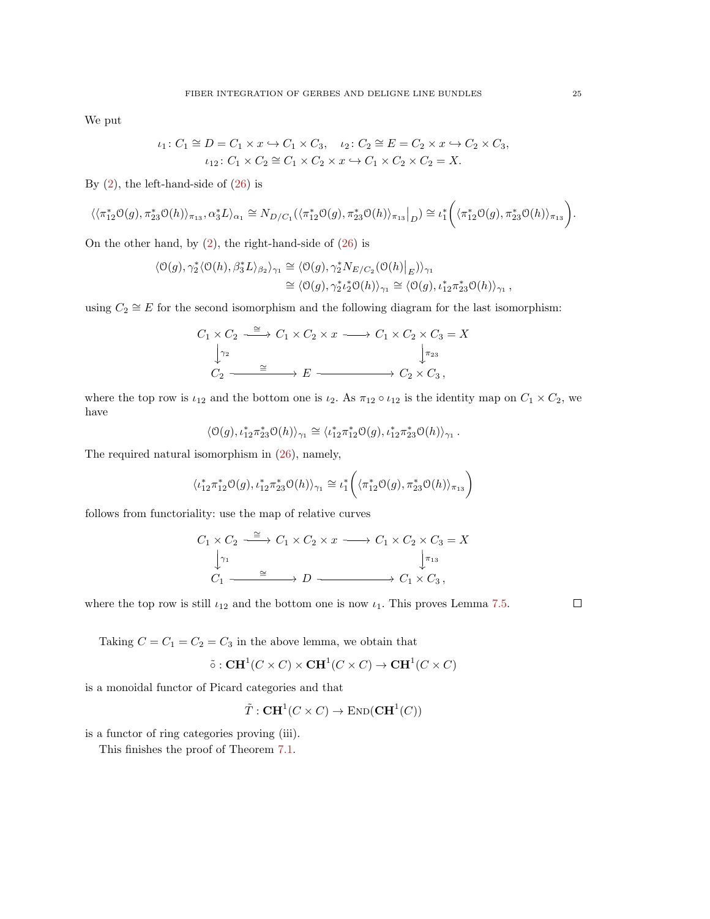We put

$$
\iota_1: C_1 \cong D = C_1 \times x \hookrightarrow C_1 \times C_3, \quad \iota_2: C_2 \cong E = C_2 \times x \hookrightarrow C_2 \times C_3, \iota_{12}: C_1 \times C_2 \cong C_1 \times C_2 \times x \hookrightarrow C_1 \times C_2 \times C_2 = X.
$$

By  $(2)$ , the left-hand-side of  $(26)$  is

$$
\langle\langle \pi_{12}^*\mathcal{O}(g), \pi_{23}^*\mathcal{O}(h)\rangle_{\pi_{13}}, \alpha_3^*L\rangle_{\alpha_1} \cong N_{D/C_1}(\langle \pi_{12}^*\mathcal{O}(g), \pi_{23}^*\mathcal{O}(h)\rangle_{\pi_{13}}|_{D}) \cong \iota_1^*\bigg(\langle \pi_{12}^*\mathcal{O}(g), \pi_{23}^*\mathcal{O}(h)\rangle_{\pi_{13}}\bigg).
$$

On the other hand, by  $(2)$ , the right-hand-side of  $(26)$  is

$$
\langle \mathcal{O}(g), \gamma_2^* \langle \mathcal{O}(h), \beta_3^* L \rangle_{\beta_2} \rangle_{\gamma_1} \cong \langle \mathcal{O}(g), \gamma_2^* N_{E/C_2}(\mathcal{O}(h)|_E) \rangle_{\gamma_1} \cong \langle \mathcal{O}(g), \gamma_2^* \iota_2^* \mathcal{O}(h) \rangle_{\gamma_1} \cong \langle \mathcal{O}(g), \iota_{12}^* \pi_{23}^* \mathcal{O}(h) \rangle_{\gamma_1},
$$

using  $C_2 \cong E$  for the second isomorphism and the following diagram for the last isomorphism:

$$
C_1 \times C_2 \xrightarrow{\cong} C_1 \times C_2 \times x \longrightarrow C_1 \times C_2 \times C_3 = X
$$
  
\n
$$
\downarrow_{\gamma_2}^{\gamma_2} \qquad \qquad \downarrow_{\gamma_3}^{\gamma_3}
$$
  
\n
$$
C_2 \xrightarrow{\cong} E \xrightarrow{\longrightarrow} C_2 \times C_3,
$$

where the top row is  $\iota_{12}$  and the bottom one is  $\iota_2$ . As  $\pi_{12} \circ \iota_{12}$  is the identity map on  $C_1 \times C_2$ , we have

$$
\langle \mathcal{O}(g), \iota_{12}^* \pi_{23}^* \mathcal{O}(h) \rangle_{\gamma_1} \cong \langle \iota_{12}^* \pi_{12}^* \mathcal{O}(g), \iota_{12}^* \pi_{23}^* \mathcal{O}(h) \rangle_{\gamma_1} \,.
$$

The required natural isomorphism in [\(26\)](#page-23-0), namely,

$$
\langle \iota_{12}^* \pi_{12}^* \mathcal{O}(g), \iota_{12}^* \pi_{23}^* \mathcal{O}(h) \rangle_{\gamma_1} \cong \iota_1^* \bigg( \langle \pi_{12}^* \mathcal{O}(g), \pi_{23}^* \mathcal{O}(h) \rangle_{\pi_{13}} \bigg)
$$

follows from functoriality: use the map of relative curves

$$
C_1 \times C_2 \xrightarrow{\cong} C_1 \times C_2 \times x \longrightarrow C_1 \times C_2 \times C_3 = X
$$
  
\n
$$
\downarrow_{\gamma_1} \qquad \qquad \downarrow_{\gamma_{13}} \qquad \qquad \downarrow_{\gamma_{13}} \qquad \qquad \downarrow_{\gamma_{13}} \qquad \qquad \downarrow_{\gamma_{13}} \qquad \qquad \downarrow_{\gamma_{13}} \qquad \qquad \downarrow_{\gamma_{13}} \qquad \qquad \downarrow_{\gamma_{13}} \qquad \qquad \downarrow_{\gamma_{13}} \qquad \qquad \downarrow_{\gamma_{13}} \qquad \qquad \downarrow_{\gamma_{13}} \qquad \qquad \downarrow_{\gamma_{13}} \qquad \qquad \downarrow_{\gamma_{13}} \qquad \qquad \downarrow_{\gamma_{13}} \qquad \qquad \downarrow_{\gamma_{13}} \qquad \qquad \downarrow_{\gamma_{13}} \qquad \qquad \downarrow_{\gamma_{13}} \qquad \qquad \downarrow_{\gamma_{13}} \qquad \qquad \downarrow_{\gamma_{13}} \qquad \qquad \downarrow_{\gamma_{13}} \qquad \qquad \downarrow_{\gamma_{13}} \qquad \qquad \downarrow_{\gamma_{13}} \qquad \qquad \downarrow_{\gamma_{13}} \qquad \qquad \downarrow_{\gamma_{13}} \qquad \qquad \downarrow_{\gamma_{13}} \qquad \qquad \downarrow_{\gamma_{13}} \qquad \qquad \downarrow_{\gamma_{13}} \qquad \qquad \downarrow_{\gamma_{13}} \qquad \qquad \downarrow_{\gamma_{13}} \qquad \qquad \downarrow_{\gamma_{13}} \qquad \qquad \downarrow_{\gamma_{13}} \qquad \qquad \downarrow_{\gamma_{13}} \qquad \qquad \downarrow_{\gamma_{13}} \qquad \qquad \downarrow_{\gamma_{13}} \qquad \qquad \downarrow_{\gamma_{13}} \qquad \qquad \downarrow_{\gamma_{13}} \qquad \qquad \downarrow_{\gamma_{13}} \qquad \qquad \downarrow_{\gamma_{13}} \qquad \qquad \downarrow_{\gamma_{13}} \qquad \qquad \downarrow_{\gamma_{13}} \qquad \qquad \downarrow_{\gamma_{13}} \qquad \qquad \downarrow_{\gamma_{13}} \qquad \qquad \downarrow_{\gamma_{13}} \qquad \qquad \downarrow_{\gamma_{13}} \qquad \qquad \down
$$

where the top row is still  $\iota_{12}$  and the bottom one is now  $\iota_1$ . This proves Lemma [7.5.](#page-23-1)

 $\Box$ 

Taking  $C = C_1 = C_2 = C_3$  in the above lemma, we obtain that

$$
\tilde{\circ}: \mathbf{C}\mathbf{H}^1(C \times C) \times \mathbf{C}\mathbf{H}^1(C \times C) \to \mathbf{C}\mathbf{H}^1(C \times C)
$$

is a monoidal functor of Picard categories and that

$$
\tilde{T}: \mathbf{C}\mathbf{H}^1(C \times C) \to \mathrm{END}(\mathbf{C}\mathbf{H}^1(C))
$$

is a functor of ring categories proving (iii).

This finishes the proof of Theorem [7.1.](#page-21-0)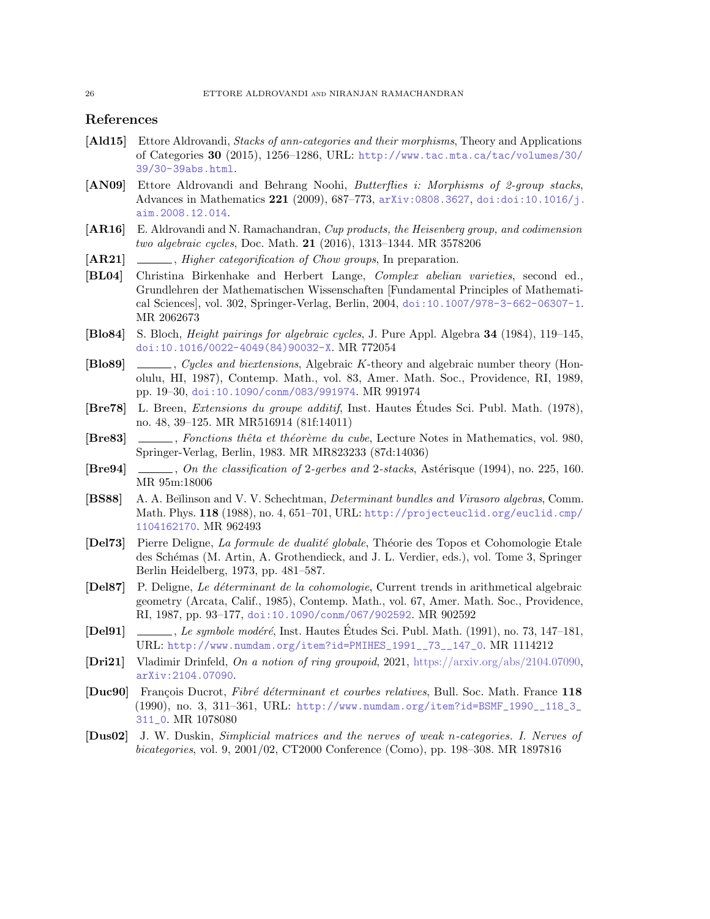## References

- <span id="page-25-13"></span>[Ald15] Ettore Aldrovandi, *Stacks of ann-categories and their morphisms*, Theory and Applications of Categories 30 (2015), 1256–1286, URL: [http://www.tac.mta.ca/tac/volumes/30/](http://www.tac.mta.ca/tac/volumes/30/39/30-39abs.html) [39/30-39abs.html](http://www.tac.mta.ca/tac/volumes/30/39/30-39abs.html).
- <span id="page-25-15"></span>[AN09] Ettore Aldrovandi and Behrang Noohi, Butterflies i: Morphisms of 2-group stacks, Advances in Mathematics  $221$  (2009), 687–773, [arXiv:0808.3627](http://arxiv.org/abs/0808.3627), [doi:doi:10.1016/j.](https://doi.org/doi:10.1016/j.aim.2008.12.014) [aim.2008.12.014](https://doi.org/doi:10.1016/j.aim.2008.12.014).
- <span id="page-25-0"></span>[AR16] E. Aldrovandi and N. Ramachandran, Cup products, the Heisenberg group, and codimension two algebraic cycles, Doc. Math. 21 (2016), 1313–1344. MR 3578206
- <span id="page-25-6"></span>[AR21] , Higher categorification of Chow groups, In preparation.
- <span id="page-25-16"></span>[BL04] Christina Birkenhake and Herbert Lange, Complex abelian varieties, second ed., Grundlehren der Mathematischen Wissenschaften [Fundamental Principles of Mathematical Sciences], vol. 302, Springer-Verlag, Berlin, 2004, [doi:10.1007/978-3-662-06307-1](https://doi.org/10.1007/978-3-662-06307-1). MR 2062673
- <span id="page-25-5"></span>[Blo84] S. Bloch, Height pairings for algebraic cycles, J. Pure Appl. Algebra 34 (1984), 119–145, [doi:10.1016/0022-4049\(84\)90032-X](https://doi.org/10.1016/0022-4049(84)90032-X). MR 772054
- <span id="page-25-3"></span>[Blo89] , Cycles and biextensions, Algebraic K-theory and algebraic number theory (Honolulu, HI, 1987), Contemp. Math., vol. 83, Amer. Math. Soc., Providence, RI, 1989, pp. 19–30, [doi:10.1090/conm/083/991974](https://doi.org/10.1090/conm/083/991974). MR 991974
- <span id="page-25-9"></span>[Bre78] L. Breen, Extensions du groupe additif, Inst. Hautes Etudes Sci. Publ. Math. (1978), ´ no. 48, 39–125. MR MR516914 (81f:14011)
- <span id="page-25-10"></span>[Bre83] , Fonctions thêta et théorème du cube, Lecture Notes in Mathematics, vol. 980, Springer-Verlag, Berlin, 1983. MR MR823233 (87d:14036)
- <span id="page-25-7"></span>[Bre94] , On the classification of 2-gerbes and 2-stacks, Ast´erisque (1994), no. 225, 160. MR 95m:18006
- <span id="page-25-4"></span>[BS88] A. A. Beĭlinson and V. V. Schechtman, *Determinant bundles and Virasoro algebras*, Comm. Math. Phys. 118 (1988), no. 4, 651–701, URL: [http://projecteuclid.org/euclid.cmp/](http://projecteuclid.org/euclid.cmp/1104162170) [1104162170](http://projecteuclid.org/euclid.cmp/1104162170). MR 962493
- <span id="page-25-12"></span>[Del73] Pierre Deligne, La formule de dualité globale, Théorie des Topos et Cohomologie Etale des Schémas (M. Artin, A. Grothendieck, and J. L. Verdier, eds.), vol. Tome 3, Springer Berlin Heidelberg, 1973, pp. 481–587.
- <span id="page-25-1"></span>[Del87] P. Deligne, Le d´eterminant de la cohomologie, Current trends in arithmetical algebraic geometry (Arcata, Calif., 1985), Contemp. Math., vol. 67, Amer. Math. Soc., Providence, RI, 1987, pp. 93–177, [doi:10.1090/conm/067/902592](https://doi.org/10.1090/conm/067/902592). MR 902592
- <span id="page-25-11"></span>[Del91] , Le symbole modéré, Inst. Hautes Études Sci. Publ. Math. (1991), no. 73, 147–181, URL: [http://www.numdam.org/item?id=PMIHES\\_1991\\_\\_73\\_\\_147\\_0](http://www.numdam.org/item?id=PMIHES_1991__73__147_0). MR 1114212
- <span id="page-25-14"></span>[Dri21] Vladimir Drinfeld, On a notion of ring groupoid, 2021, [https://arxiv.org/abs/2104.07090,](arXiv.org:2104.07090) [arXiv:2104.07090](http://arxiv.org/abs/2104.07090).
- <span id="page-25-2"></span>**[Duc90]** François Ducrot, Fibré déterminant et courbes relatives, Bull. Soc. Math. France 118 (1990), no. 3, 311–361, URL: [http://www.numdam.org/item?id=BSMF\\_1990\\_\\_118\\_3\\_](http://www.numdam.org/item?id=BSMF_1990__118_3_311_0) [311\\_0](http://www.numdam.org/item?id=BSMF_1990__118_3_311_0). MR 1078080
- <span id="page-25-8"></span>[Dus02] J. W. Duskin, Simplicial matrices and the nerves of weak n-categories. I. Nerves of bicategories, vol. 9, 2001/02, CT2000 Conference (Como), pp. 198–308. MR 1897816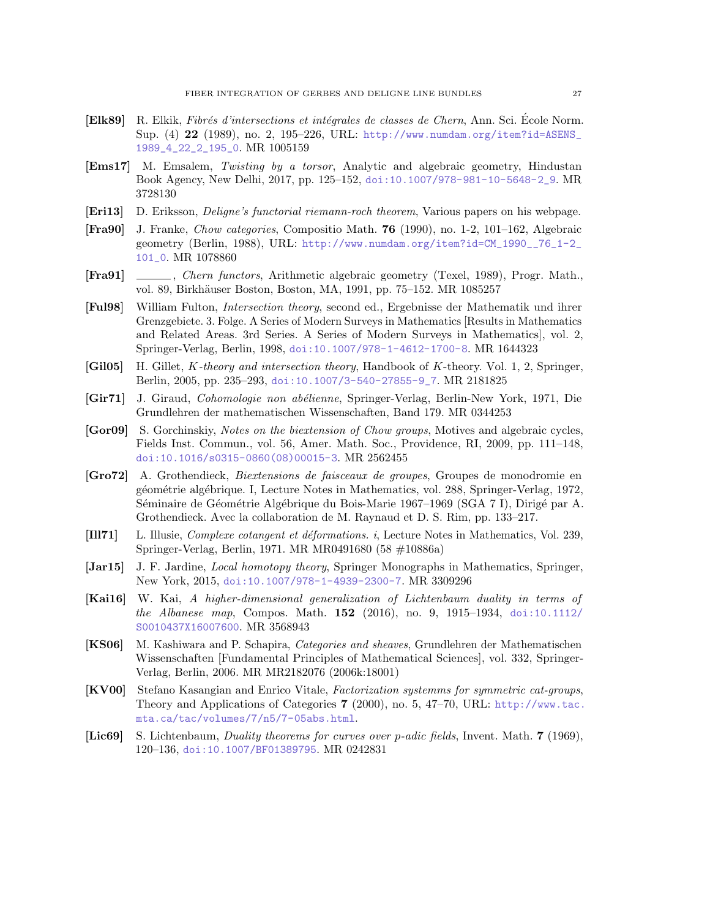- <span id="page-26-3"></span>[Elk89] R. Elkik, Fibrés d'intersections et intégrales de classes de Chern, Ann. Sci. École Norm. Sup. (4) 22 (1989), no. 2, 195–226, URL: [http://www.numdam.org/item?id=ASENS\\_](http://www.numdam.org/item?id=ASENS_1989_4_22_2_195_0) [1989\\_4\\_22\\_2\\_195\\_0](http://www.numdam.org/item?id=ASENS_1989_4_22_2_195_0). MR 1005159
- <span id="page-26-9"></span>[Ems17] M. Emsalem, Twisting by a torsor, Analytic and algebraic geometry, Hindustan Book Agency, New Delhi, 2017, pp. 125–152, [doi:10.1007/978-981-10-5648-2\\_9](https://doi.org/10.1007/978-981-10-5648-2_9). MR 3728130
- <span id="page-26-6"></span>[Eri13] D. Eriksson, Deligne's functorial riemann-roch theorem, Various papers on his webpage.
- <span id="page-26-5"></span>[Fra90] J. Franke, Chow categories, Compositio Math. 76 (1990), no. 1-2, 101–162, Algebraic geometry (Berlin, 1988), URL: [http://www.numdam.org/item?id=CM\\_1990\\_\\_76\\_1-2\\_](http://www.numdam.org/item?id=CM_1990__76_1-2_101_0) [101\\_0](http://www.numdam.org/item?id=CM_1990__76_1-2_101_0). MR 1078860
- <span id="page-26-4"></span>[Fra91] , Chern functors, Arithmetic algebraic geometry (Texel, 1989), Progr. Math., vol. 89, Birkhäuser Boston, Boston, MA, 1991, pp. 75–152. MR 1085257
- <span id="page-26-1"></span>[Ful98] William Fulton, Intersection theory, second ed., Ergebnisse der Mathematik und ihrer Grenzgebiete. 3. Folge. A Series of Modern Surveys in Mathematics [Results in Mathematics and Related Areas. 3rd Series. A Series of Modern Surveys in Mathematics], vol. 2, Springer-Verlag, Berlin, 1998, [doi:10.1007/978-1-4612-1700-8](https://doi.org/10.1007/978-1-4612-1700-8). MR 1644323
- <span id="page-26-14"></span>[Gil05] H. Gillet, K-theory and intersection theory, Handbook of K-theory. Vol. 1, 2, Springer, Berlin, 2005, pp. 235–293, [doi:10.1007/3-540-27855-9\\_7](https://doi.org/10.1007/3-540-27855-9_7). MR 2181825
- <span id="page-26-0"></span>[Gir71] J. Giraud, Cohomologie non abélienne, Springer-Verlag, Berlin-New York, 1971, Die Grundlehren der mathematischen Wissenschaften, Band 179. MR 0344253
- <span id="page-26-2"></span>[Gor09] S. Gorchinskiy, Notes on the biextension of Chow groups, Motives and algebraic cycles, Fields Inst. Commun., vol. 56, Amer. Math. Soc., Providence, RI, 2009, pp. 111–148, [doi:10.1016/s0315-0860\(08\)00015-3](https://doi.org/10.1016/s0315-0860(08)00015-3). MR 2562455
- <span id="page-26-13"></span>[Gro72] A. Grothendieck, Biextensions de faisceaux de groupes, Groupes de monodromie en g´eom´etrie alg´ebrique. I, Lecture Notes in Mathematics, vol. 288, Springer-Verlag, 1972, Séminaire de Géométrie Algébrique du Bois-Marie 1967–1969 (SGA 7 I), Dirigé par A. Grothendieck. Avec la collaboration de M. Raynaud et D. S. Rim, pp. 133–217.
- <span id="page-26-12"></span>[Ill71] L. Illusie, *Complexe cotangent et déformations. i*, Lecture Notes in Mathematics, Vol. 239, Springer-Verlag, Berlin, 1971. MR MR0491680 (58 #10886a)
- <span id="page-26-7"></span>[Jar15] J. F. Jardine, *Local homotopy theory*, Springer Monographs in Mathematics, Springer, New York, 2015, [doi:10.1007/978-1-4939-2300-7](https://doi.org/10.1007/978-1-4939-2300-7). MR 3309296
- <span id="page-26-10"></span>[Kai16] W. Kai, A higher-dimensional generalization of Lichtenbaum duality in terms of the Albanese map, Compos. Math.  $152$  (2016), no. 9, 1915–1934, [doi:10.1112/](https://doi.org/10.1112/S0010437X16007600) [S0010437X16007600](https://doi.org/10.1112/S0010437X16007600). MR 3568943
- <span id="page-26-8"></span>[KS06] M. Kashiwara and P. Schapira, Categories and sheaves, Grundlehren der Mathematischen Wissenschaften [Fundamental Principles of Mathematical Sciences], vol. 332, Springer-Verlag, Berlin, 2006. MR MR2182076 (2006k:18001)
- <span id="page-26-15"></span>[KV00] Stefano Kasangian and Enrico Vitale, Factorization systemms for symmetric cat-groups, Theory and Applications of Categories 7 (2000), no. 5, 47–70, URL: [http://www.tac.](http://www.tac.mta.ca/tac/volumes/7/n5/7-05abs.html) [mta.ca/tac/volumes/7/n5/7-05abs.html](http://www.tac.mta.ca/tac/volumes/7/n5/7-05abs.html).
- <span id="page-26-11"></span>[Lic69] S. Lichtenbaum, *Duality theorems for curves over p-adic fields*, Invent. Math. 7 (1969), 120–136, [doi:10.1007/BF01389795](https://doi.org/10.1007/BF01389795). MR 0242831